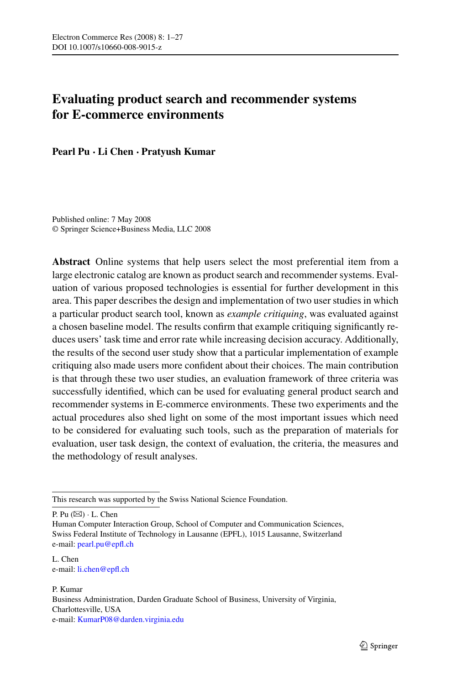# **Evaluating product search and recommender systems for E-commerce environments**

**Pearl Pu** · **Li Chen** · **Pratyush Kumar**

Published online: 7 May 2008 © Springer Science+Business Media, LLC 2008

**Abstract** Online systems that help users select the most preferential item from a large electronic catalog are known as product search and recommender systems. Evaluation of various proposed technologies is essential for further development in this area. This paper describes the design and implementation of two user studies in which a particular product search tool, known as *example critiquing*, was evaluated against a chosen baseline model. The results confirm that example critiquing significantly reduces users' task time and error rate while increasing decision accuracy. Additionally, the results of the second user study show that a particular implementation of example critiquing also made users more confident about their choices. The main contribution is that through these two user studies, an evaluation framework of three criteria was successfully identified, which can be used for evaluating general product search and recommender systems in E-commerce environments. These two experiments and the actual procedures also shed light on some of the most important issues which need to be considered for evaluating such tools, such as the preparation of materials for evaluation, user task design, the context of evaluation, the criteria, the measures and the methodology of result analyses.

P. Pu  $(\boxtimes) \cdot$  L. Chen

L. Chen e-mail: li.chen@epfl.ch

P. Kumar Business Administration, Darden Graduate School of Business, University of Virginia, Charlottesville, USA e-mail: KumarP08@darden.virginia.edu

This research was supported by the Swiss National Science Foundation.

Human Computer Interaction Group, School of Computer and Communication Sciences, Swiss Federal Institute of Technology in Lausanne (EPFL), 1015 Lausanne, Switzerland e-mail: pearl.pu@epfl.ch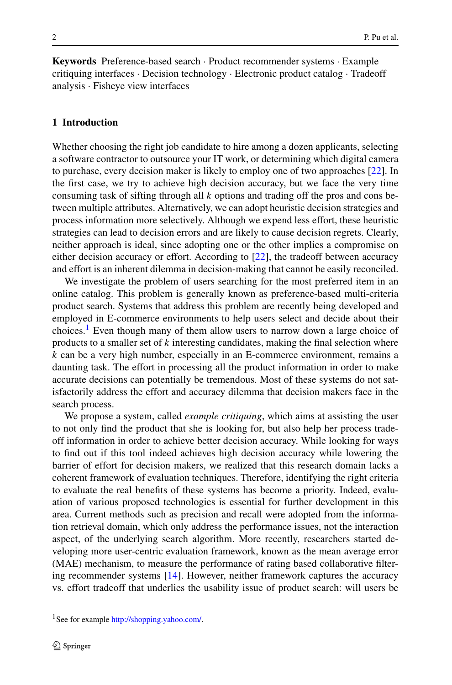**Keywords** Preference-based search · Product recommender systems · Example critiquing interfaces · Decision technology · Electronic product catalog · Tradeoff analysis · Fisheye view interfaces

## **1 Introduction**

Whether choosing the right job candidate to hire among a dozen applicants, selecting a software contractor to outsource your IT work, or determining which digital camera to purchase, every decision maker is likely to employ one of two approaches [22]. In the first case, we try to achieve high decision accuracy, but we face the very time consuming task of sifting through all  $k$  options and trading off the pros and cons between multiple attributes. Alternatively, we can adopt heuristic decision strategies and process information more selectively. Although we expend less effort, these heuristic strategies can lead to decision errors and are likely to cause decision regrets. Clearly, neither approach is ideal, since adopting one or the other implies a compromise on either decision accuracy or effort. According to [22], the tradeoff between accuracy and effort is an inherent dilemma in decision-making that cannot be easily reconciled.

We investigate the problem of users searching for the most preferred item in an online catalog. This problem is generally known as preference-based multi-criteria product search. Systems that address this problem are recently being developed and employed in E-commerce environments to help users select and decide about their choices.<sup>1</sup> Even though many of them allow users to narrow down a large choice of products to a smaller set of  $k$  interesting candidates, making the final selection where  $k$  can be a very high number, especially in an E-commerce environment, remains a daunting task. The effort in processing all the product information in order to make accurate decisions can potentially be tremendous. Most of these systems do not satisfactorily address the effort and accuracy dilemma that decision makers face in the search process.

We propose a system, called *example critiquing*, which aims at assisting the user to not only find the product that she is looking for, but also help her process tradeoff information in order to achieve better decision accuracy. While looking for ways to find out if this tool indeed achieves high decision accuracy while lowering the barrier of effort for decision makers, we realized that this research domain lacks a coherent framework of evaluation techniques. Therefore, identifying the right criteria to evaluate the real benefits of these systems has become a priority. Indeed, evaluation of various proposed technologies is essential for further development in this area. Current methods such as precision and recall were adopted from the information retrieval domain, which only address the performance issues, not the interaction aspect, of the underlying search algorithm. More recently, researchers started developing more user-centric evaluation framework, known as the mean average error (MAE) mechanism, to measure the performance of rating based collaborative filtering recommender systems [14]. However, neither framework captures the accuracy vs. effort tradeoff that underlies the usability issue of product search: will users be

<sup>&</sup>lt;sup>1</sup>See for example http://shopping.yahoo.com/.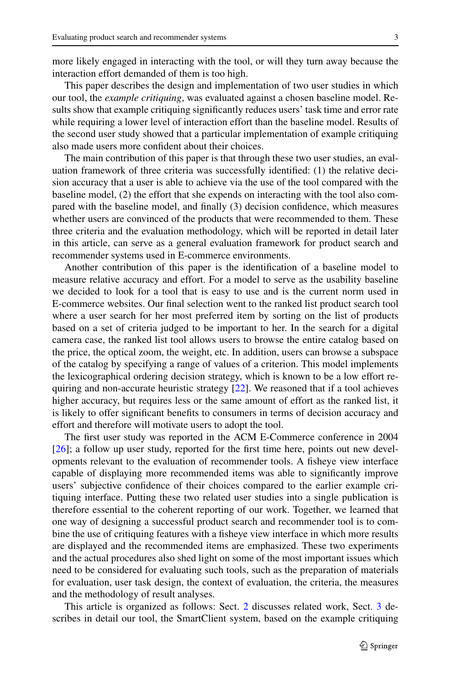more likely engaged in interacting with the tool, or will they turn away because the interaction effort demanded of them is too high.

This paper describes the design and implementation of two user studies in which our tool, the *example critiquing*, was evaluated against a chosen baseline model. Results show that example critiquing significantly reduces users' task time and error rate while requiring a lower level of interaction effort than the baseline model. Results of the second user study showed that a particular implementation of example critiquing also made users more confident about their choices.

The main contribution of this paper is that through these two user studies, an evaluation framework of three criteria was successfully identified: (1) the relative decision accuracy that a user is able to achieve via the use of the tool compared with the baseline model, (2) the effort that she expends on interacting with the tool also compared with the baseline model, and finally (3) decision confidence, which measures whether users are convinced of the products that were recommended to them. These three criteria and the evaluation methodology, which will be reported in detail later in this article, can serve as a general evaluation framework for product search and recommender systems used in E-commerce environments.

Another contribution of this paper is the identification of a baseline model to measure relative accuracy and effort. For a model to serve as the usability baseline we decided to look for a tool that is easy to use and is the current norm used in E-commerce websites. Our final selection went to the ranked list product search tool where a user search for her most preferred item by sorting on the list of products based on a set of criteria judged to be important to her. In the search for a digital camera case, the ranked list tool allows users to browse the entire catalog based on the price, the optical zoom, the weight, etc. In addition, users can browse a subspace of the catalog by specifying a range of values of a criterion. This model implements the lexicographical ordering decision strategy, which is known to be a low effort requiring and non-accurate heuristic strategy [22]. We reasoned that if a tool achieves higher accuracy, but requires less or the same amount of effort as the ranked list, it is likely to offer significant benefits to consumers in terms of decision accuracy and effort and therefore will motivate users to adopt the tool.

The first user study was reported in the ACM E-Commerce conference in 2004 [26]; a follow up user study, reported for the first time here, points out new developments relevant to the evaluation of recommender tools. A fisheye view interface capable of displaying more recommended items was able to significantly improve users' subjective confidence of their choices compared to the earlier example critiquing interface. Putting these two related user studies into a single publication is therefore essential to the coherent reporting of our work. Together, we learned that one way of designing a successful product search and recommender tool is to combine the use of critiquing features with a fisheye view interface in which more results are displayed and the recommended items are emphasized. These two experiments and the actual procedures also shed light on some of the most important issues which need to be considered for evaluating such tools, such as the preparation of materials for evaluation, user task design, the context of evaluation, the criteria, the measures and the methodology of result analyses.

This article is organized as follows: Sect. 2 discusses related work, Sect. 3 describes in detail our tool, the SmartClient system, based on the example critiquing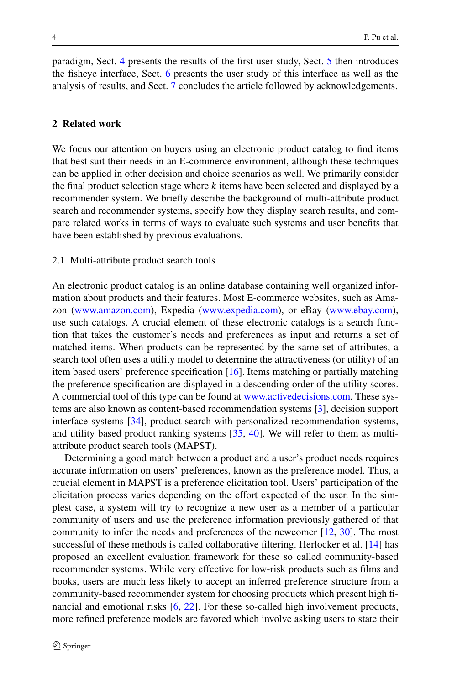paradigm, Sect. 4 presents the results of the first user study, Sect. 5 then introduces the fisheye interface, Sect. 6 presents the user study of this interface as well as the analysis of results, and Sect. 7 concludes the article followed by acknowledgements.

## **2 Related work**

We focus our attention on buyers using an electronic product catalog to find items that best suit their needs in an E-commerce environment, although these techniques can be applied in other decision and choice scenarios as well. We primarily consider the final product selection stage where  $k$  items have been selected and displayed by a recommender system. We briefly describe the background of multi-attribute product search and recommender systems, specify how they display search results, and compare related works in terms of ways to evaluate such systems and user benefits that have been established by previous evaluations.

2.1 Multi-attribute product search tools

An electronic product catalog is an online database containing well organized information about products and their features. Most E-commerce websites, such as Amazon (www.amazon.com), Expedia (www.expedia.com), or eBay (www.ebay.com), use such catalogs. A crucial element of these electronic catalogs is a search function that takes the customer's needs and preferences as input and returns a set of matched items. When products can be represented by the same set of attributes, a search tool often uses a utility model to determine the attractiveness (or utility) of an item based users' preference specification [16]. Items matching or partially matching the preference specification are displayed in a descending order of the utility scores. A commercial tool of this type can be found at www.activedecisions.com. These systems are also known as content-based recommendation systems [3], decision support interface systems [34], product search with personalized recommendation systems, and utility based product ranking systems [35, 40]. We will refer to them as multiattribute product search tools (MAPST).

Determining a good match between a product and a user's product needs requires accurate information on users' preferences, known as the preference model. Thus, a crucial element in MAPST is a preference elicitation tool. Users' participation of the elicitation process varies depending on the effort expected of the user. In the simplest case, a system will try to recognize a new user as a member of a particular community of users and use the preference information previously gathered of that community to infer the needs and preferences of the newcomer [12, 30]. The most successful of these methods is called collaborative filtering. Herlocker et al. [14] has proposed an excellent evaluation framework for these so called community-based recommender systems. While very effective for low-risk products such as films and books, users are much less likely to accept an inferred preference structure from a community-based recommender system for choosing products which present high financial and emotional risks [6, 22]. For these so-called high involvement products, more refined preference models are favored which involve asking users to state their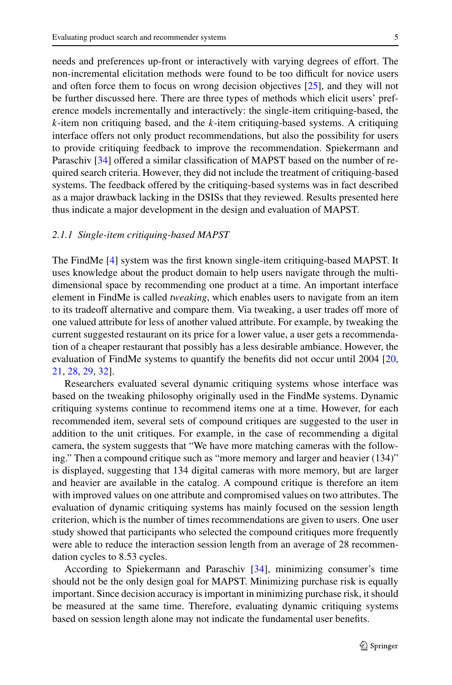needs and preferences up-front or interactively with varying degrees of effort. The non-incremental elicitation methods were found to be too difficult for novice users and often force them to focus on wrong decision objectives [25], and they will not be further discussed here. There are three types of methods which elicit users' preference models incrementally and interactively: the single-item critiquing-based, the  $k$ -item non critiquing based, and the  $k$ -item critiquing-based systems. A critiquing interface offers not only product recommendations, but also the possibility for users to provide critiquing feedback to improve the recommendation. Spiekermann and Paraschiv [34] offered a similar classification of MAPST based on the number of required search criteria. However, they did not include the treatment of critiquing-based systems. The feedback offered by the critiquing-based systems was in fact described as a major drawback lacking in the DSISs that they reviewed. Results presented here thus indicate a major development in the design and evaluation of MAPST.

#### *2.1.1 Single-item critiquing-based MAPST*

The FindMe [4] system was the first known single-item critiquing-based MAPST. It uses knowledge about the product domain to help users navigate through the multidimensional space by recommending one product at a time. An important interface element in FindMe is called *tweaking*, which enables users to navigate from an item to its tradeoff alternative and compare them. Via tweaking, a user trades off more of one valued attribute for less of another valued attribute. For example, by tweaking the current suggested restaurant on its price for a lower value, a user gets a recommendation of a cheaper restaurant that possibly has a less desirable ambiance. However, the evaluation of FindMe systems to quantify the benefits did not occur until 2004 [20, 21, 28, 29, 32].

Researchers evaluated several dynamic critiquing systems whose interface was based on the tweaking philosophy originally used in the FindMe systems. Dynamic critiquing systems continue to recommend items one at a time. However, for each recommended item, several sets of compound critiques are suggested to the user in addition to the unit critiques. For example, in the case of recommending a digital camera, the system suggests that "We have more matching cameras with the following." Then a compound critique such as "more memory and larger and heavier (134)" is displayed, suggesting that 134 digital cameras with more memory, but are larger and heavier are available in the catalog. A compound critique is therefore an item with improved values on one attribute and compromised values on two attributes. The evaluation of dynamic critiquing systems has mainly focused on the session length criterion, which is the number of times recommendations are given to users. One user study showed that participants who selected the compound critiques more frequently were able to reduce the interaction session length from an average of 28 recommendation cycles to 8.53 cycles.

According to Spiekermann and Paraschiv [34], minimizing consumer's time should not be the only design goal for MAPST. Minimizing purchase risk is equally important. Since decision accuracy is important in minimizing purchase risk, it should be measured at the same time. Therefore, evaluating dynamic critiquing systems based on session length alone may not indicate the fundamental user benefits.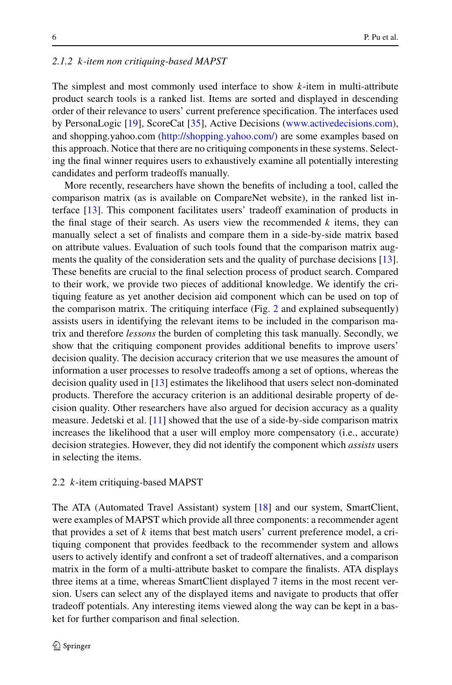#### *2.1.2* k*-item non critiquing-based MAPST*

The simplest and most commonly used interface to show  $k$ -item in multi-attribute product search tools is a ranked list. Items are sorted and displayed in descending order of their relevance to users' current preference specification. The interfaces used by PersonaLogic [19], ScoreCat [35], Active Decisions (www.activedecisions.com), and shopping.yahoo.com (http://shopping.yahoo.com/) are some examples based on this approach. Notice that there are no critiquing components in these systems. Selecting the final winner requires users to exhaustively examine all potentially interesting candidates and perform tradeoffs manually.

More recently, researchers have shown the benefits of including a tool, called the comparison matrix (as is available on CompareNet website), in the ranked list interface [13]. This component facilitates users' tradeoff examination of products in the final stage of their search. As users view the recommended  $k$  items, they can manually select a set of finalists and compare them in a side-by-side matrix based on attribute values. Evaluation of such tools found that the comparison matrix augments the quality of the consideration sets and the quality of purchase decisions [13]. These benefits are crucial to the final selection process of product search. Compared to their work, we provide two pieces of additional knowledge. We identify the critiquing feature as yet another decision aid component which can be used on top of the comparison matrix. The critiquing interface (Fig. 2 and explained subsequently) assists users in identifying the relevant items to be included in the comparison matrix and therefore *lessons* the burden of completing this task manually. Secondly, we show that the critiquing component provides additional benefits to improve users' decision quality. The decision accuracy criterion that we use measures the amount of information a user processes to resolve tradeoffs among a set of options, whereas the decision quality used in [13] estimates the likelihood that users select non-dominated products. Therefore the accuracy criterion is an additional desirable property of decision quality. Other researchers have also argued for decision accuracy as a quality measure. Jedetski et al. [11] showed that the use of a side-by-side comparison matrix increases the likelihood that a user will employ more compensatory (i.e., accurate) decision strategies. However, they did not identify the component which *assists* users in selecting the items.

#### 2.2 k-item critiquing-based MAPST

The ATA (Automated Travel Assistant) system [18] and our system, SmartClient, were examples of MAPST which provide all three components: a recommender agent that provides a set of  $k$  items that best match users' current preference model, a critiquing component that provides feedback to the recommender system and allows users to actively identify and confront a set of tradeoff alternatives, and a comparison matrix in the form of a multi-attribute basket to compare the finalists. ATA displays three items at a time, whereas SmartClient displayed 7 items in the most recent version. Users can select any of the displayed items and navigate to products that offer tradeoff potentials. Any interesting items viewed along the way can be kept in a basket for further comparison and final selection.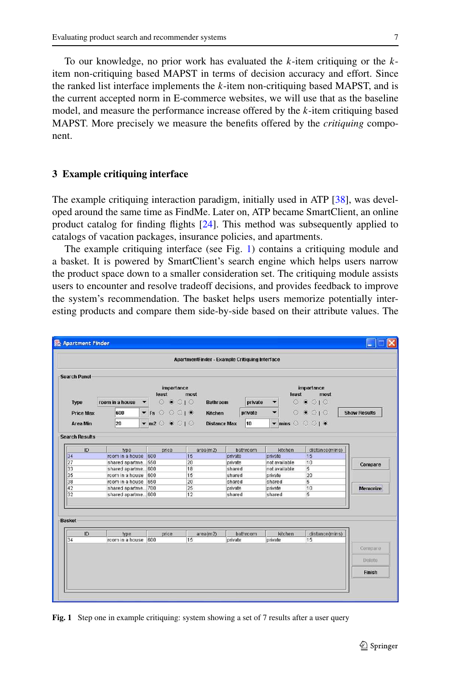To our knowledge, no prior work has evaluated the  $k$ -item critiquing or the  $k$ item non-critiquing based MAPST in terms of decision accuracy and effort. Since the ranked list interface implements the  $k$ -item non-critiquing based MAPST, and is the current accepted norm in E-commerce websites, we will use that as the baseline model, and measure the performance increase offered by the k-item critiquing based MAPST. More precisely we measure the benefits offered by the *critiquing* component.

## **3 Example critiquing interface**

The example critiquing interaction paradigm, initially used in ATP [38], was developed around the same time as FindMe. Later on, ATP became SmartClient, an online product catalog for finding flights [24]. This method was subsequently applied to catalogs of vacation packages, insurance policies, and apartments.

The example critiquing interface (see Fig. 1) contains a critiquing module and a basket. It is powered by SmartClient's search engine which helps users narrow the product space down to a smaller consideration set. The critiquing module assists users to encounter and resolve tradeoff decisions, and provides feedback to improve the system's recommendation. The basket helps users memorize potentially interesting products and compare them side-by-side based on their attribute values. The

|                       |                     |   |                                                                 |             |      | ApartmentFinder - Example Critiquing Interface |         |          |         |               |                                                           |                     |
|-----------------------|---------------------|---|-----------------------------------------------------------------|-------------|------|------------------------------------------------|---------|----------|---------|---------------|-----------------------------------------------------------|---------------------|
| <b>Search Panel</b>   |                     |   |                                                                 |             |      |                                                |         |          |         |               |                                                           |                     |
|                       |                     |   |                                                                 | importance  |      |                                                |         |          |         |               | importance                                                |                     |
|                       |                     |   | least                                                           |             | most |                                                |         |          |         | least         | most                                                      |                     |
| Type                  | room in a house     | ▼ | $\circ$                                                         | $\circ$ 010 |      | <b>Bathroom</b>                                |         | private  | ▼       |               | $O$ $O$ $O$ $I$                                           |                     |
| <b>Price Max</b>      | 600                 |   | $\blacktriangledown$ Fs $\circ$ $\circ$ $\circ$ $\circ$ $\circ$ |             |      | Kitchen                                        |         | private  |         |               | $O$ $O$ $O$   $O$                                         | <b>Show Results</b> |
| <b>Area Min</b>       | 20                  |   | $\blacktriangledown$ m2 $\odot$ 0 $\odot$ 1 $\odot$             |             |      | <b>Distance Max</b>                            |         | 10       |         |               | $\blacktriangledown$ mins $\odot$ $\odot$ $\odot$ $\circ$ |                     |
|                       |                     |   |                                                                 |             |      |                                                |         |          |         |               |                                                           |                     |
| <b>Search Results</b> |                     |   |                                                                 |             |      |                                                |         |          |         |               |                                                           |                     |
|                       |                     |   |                                                                 |             |      |                                                |         |          |         |               |                                                           |                     |
| ID                    | type                |   | price                                                           |             |      | area(m2)                                       |         | bathroom |         | kitchen       | distance(mins)                                            |                     |
| 34                    | room in a house 600 |   |                                                                 |             | 15   |                                                | private |          | private |               | 15                                                        |                     |
| 27                    | shared apartme 550  |   |                                                                 |             | 20   |                                                | private |          |         | not available | 10                                                        | Compare             |
| 33                    | shared apartme 600  |   |                                                                 |             | 18   |                                                | shared  |          |         | not available | 5                                                         |                     |
| 35                    | room in a house 600 |   |                                                                 |             | 15   |                                                | shared  |          | private |               | 20                                                        |                     |
| 38                    | room in a house 650 |   |                                                                 |             | 20   |                                                | shared  |          | shared  |               | 5                                                         |                     |
| 42                    | shared apartme 700  |   |                                                                 |             | 25   |                                                | private |          | private |               | 10                                                        | <b>Memorize</b>     |
| 32                    | shared apartme 600  |   |                                                                 |             | 12   |                                                | shared  |          | shared  |               | 5                                                         |                     |
|                       |                     |   |                                                                 |             |      |                                                |         |          |         |               |                                                           |                     |
| <b>Basket</b>         |                     |   |                                                                 |             |      |                                                |         |          |         |               |                                                           |                     |
|                       |                     |   |                                                                 |             |      |                                                |         |          |         |               |                                                           |                     |
| ID                    | type                |   | price                                                           |             |      | area(m2)                                       |         | bathroom |         | kitchen       | distance(mins)                                            |                     |
| 34                    | room in a house 600 |   |                                                                 |             | 15   |                                                | private |          | private |               | 15                                                        |                     |
|                       |                     |   |                                                                 |             |      |                                                |         |          |         |               |                                                           | Compare             |
|                       |                     |   |                                                                 |             |      |                                                |         |          |         |               |                                                           | Delete              |
|                       |                     |   |                                                                 |             |      |                                                |         |          |         |               |                                                           | Finish              |

Fig. 1 Step one in example critiquing: system showing a set of 7 results after a user query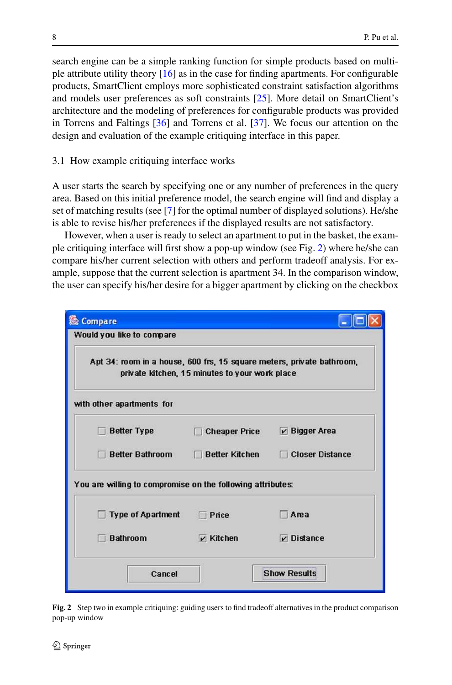search engine can be a simple ranking function for simple products based on multiple attribute utility theory  $[16]$  as in the case for finding apartments. For configurable products, SmartClient employs more sophisticated constraint satisfaction algorithms and models user preferences as soft constraints [25]. More detail on SmartClient's architecture and the modeling of preferences for configurable products was provided in Torrens and Faltings [36] and Torrens et al. [37]. We focus our attention on the design and evaluation of the example critiquing interface in this paper.

3.1 How example critiquing interface works

A user starts the search by specifying one or any number of preferences in the query area. Based on this initial preference model, the search engine will find and display a set of matching results (see [7] for the optimal number of displayed solutions). He/she is able to revise his/her preferences if the displayed results are not satisfactory.

However, when a user is ready to select an apartment to put in the basket, the example critiquing interface will first show a pop-up window (see Fig. 2) where he/she can compare his/her current selection with others and perform tradeoff analysis. For example, suppose that the current selection is apartment 34. In the comparison window, the user can specify his/her desire for a bigger apartment by clicking on the checkbox

| <b>&amp; Compare</b>                                                  |                                                |                     |
|-----------------------------------------------------------------------|------------------------------------------------|---------------------|
| Would you like to compare                                             |                                                |                     |
| Apt 34: room in a house, 600 frs, 15 square meters, private bathroom, | private kitchen, 15 minutes to your work place |                     |
| with other apartments for                                             |                                                |                     |
| <b>Better Type</b>                                                    | <b>Cheaper Price</b>                           | $V$ Bigger Area     |
| <b>Better Bathroom</b>                                                | <b>Better Kitchen</b>                          | □ Closer Distance   |
| You are willing to compromise on the following attributes:            |                                                |                     |
| $\Box$ Type of Apartment                                              | Price                                          | $\Box$ Area         |
| <b>Bathroom</b>                                                       | $V$ Kitchen                                    | $V$ Distance        |
| Cancel                                                                |                                                | <b>Show Results</b> |

**Fig. 2** Step two in example critiquing: guiding users to find tradeoff alternatives in the product comparison pop-up window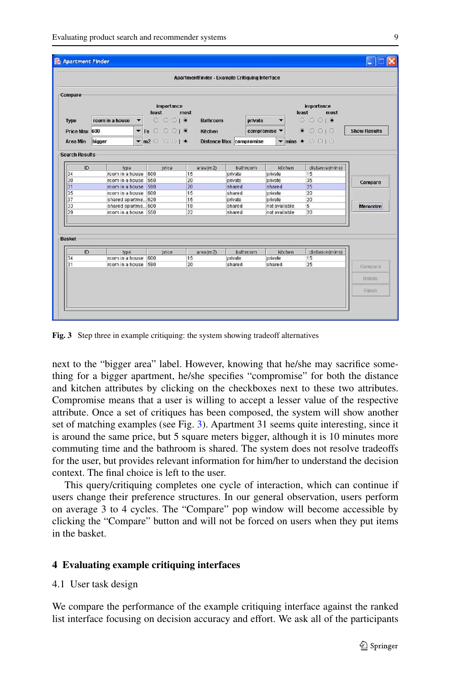|                       |                     |                          |                                      |                                                                                                | ApartmentFinder - Example Critiquing Interface |                     |              |                          |         |                                                                                            |                     |
|-----------------------|---------------------|--------------------------|--------------------------------------|------------------------------------------------------------------------------------------------|------------------------------------------------|---------------------|--------------|--------------------------|---------|--------------------------------------------------------------------------------------------|---------------------|
| Compare               |                     |                          |                                      |                                                                                                |                                                |                     |              |                          |         |                                                                                            |                     |
|                       |                     |                          |                                      | importance                                                                                     |                                                |                     |              |                          |         | importance                                                                                 |                     |
|                       |                     |                          | least                                |                                                                                                | most                                           |                     |              |                          | least   | most                                                                                       |                     |
| Type                  | room in a house     | $\overline{\phantom{a}}$ | $\circ$                              | $\circ$<br>$O1$ $\odot$                                                                        | <b>Bathroom</b>                                |                     | private      | $\overline{\phantom{a}}$ | $\circ$ | $O$ $O$ $\bullet$                                                                          |                     |
| <b>Price Max</b>      | 600                 |                          | $\blacktriangledown$ Fs $\heartsuit$ | $\circ$ $\circ$ 1 $\bullet$                                                                    | Kitchen                                        |                     | compromise v |                          | ۰       | O <sub>0</sub>                                                                             | <b>Show Results</b> |
| Area Min              | bigger              |                          |                                      | $\blacktriangledown$ m2 $\circlearrowleft$ $\circlearrowleft$ $\circlearrowright$ i. $\bullet$ |                                                | <b>Distance Max</b> | compromise   |                          |         | $\blacktriangledown$ mins (0) $\circlearrowleft$ $\circlearrowright$ i $\circlearrowright$ |                     |
|                       |                     |                          |                                      |                                                                                                |                                                |                     |              |                          |         |                                                                                            |                     |
| <b>Search Results</b> |                     |                          |                                      |                                                                                                |                                                |                     |              |                          |         |                                                                                            |                     |
|                       |                     |                          |                                      |                                                                                                |                                                |                     |              |                          |         |                                                                                            |                     |
| ID                    | type                |                          |                                      | price                                                                                          | area(m2)                                       |                     | bathroom     |                          | kitchen | distance(mins)                                                                             |                     |
| 34                    | room in a house 600 |                          |                                      |                                                                                                | 15                                             | private             |              | private                  |         | 15                                                                                         |                     |
| 30                    | room in a house     |                          | 550                                  |                                                                                                | 20                                             | private             |              | private                  |         | 35                                                                                         | Compare             |
| 31                    | room in a house 590 |                          |                                      |                                                                                                | 20                                             | shared              |              | shared                   |         | 25                                                                                         |                     |
| 35                    | room in a house 600 |                          |                                      |                                                                                                | 15                                             | shared              |              | private                  |         | 20                                                                                         |                     |
| 37<br>33              | shared apartme 620  |                          |                                      |                                                                                                | 15<br>18                                       | private             |              | private                  |         | 20                                                                                         |                     |
| 29                    | shared apartme 600  |                          |                                      |                                                                                                | 22                                             | shared<br>shared    |              | not available            |         | 5<br>20                                                                                    | <b>Memorize</b>     |
|                       | room in a house 550 |                          |                                      |                                                                                                |                                                |                     |              | not available            |         |                                                                                            |                     |
| <b>Basket</b>         |                     |                          |                                      |                                                                                                |                                                |                     |              |                          |         |                                                                                            |                     |
| ID                    | type                |                          |                                      | price                                                                                          | area(m2)                                       |                     | bathroom     |                          | kitchen | distance(mins)                                                                             |                     |
| 34                    | room in a house     |                          | 600                                  |                                                                                                | 15                                             | private             |              | private                  |         | 15                                                                                         |                     |
| 31                    | room in a house 590 |                          |                                      |                                                                                                | 20                                             | shared              |              | shared                   |         | 25                                                                                         | Compare             |
|                       |                     |                          |                                      |                                                                                                |                                                |                     |              |                          |         |                                                                                            |                     |
|                       |                     |                          |                                      |                                                                                                |                                                |                     |              |                          |         |                                                                                            | Delete.             |
|                       |                     |                          |                                      |                                                                                                |                                                |                     |              |                          |         |                                                                                            |                     |
|                       |                     |                          |                                      |                                                                                                |                                                |                     |              |                          |         |                                                                                            | <b>Finish</b>       |

**Fig. 3** Step three in example critiquing: the system showing tradeoff alternatives

next to the "bigger area" label. However, knowing that he/she may sacrifice something for a bigger apartment, he/she specifies "compromise" for both the distance and kitchen attributes by clicking on the checkboxes next to these two attributes. Compromise means that a user is willing to accept a lesser value of the respective attribute. Once a set of critiques has been composed, the system will show another set of matching examples (see Fig. 3). Apartment 31 seems quite interesting, since it is around the same price, but 5 square meters bigger, although it is 10 minutes more commuting time and the bathroom is shared. The system does not resolve tradeoffs for the user, but provides relevant information for him/her to understand the decision context. The final choice is left to the user.

This query/critiquing completes one cycle of interaction, which can continue if users change their preference structures. In our general observation, users perform on average 3 to 4 cycles. The "Compare" pop window will become accessible by clicking the "Compare" button and will not be forced on users when they put items in the basket.

#### **4 Evaluating example critiquing interfaces**

#### 4.1 User task design

We compare the performance of the example critiquing interface against the ranked list interface focusing on decision accuracy and effort. We ask all of the participants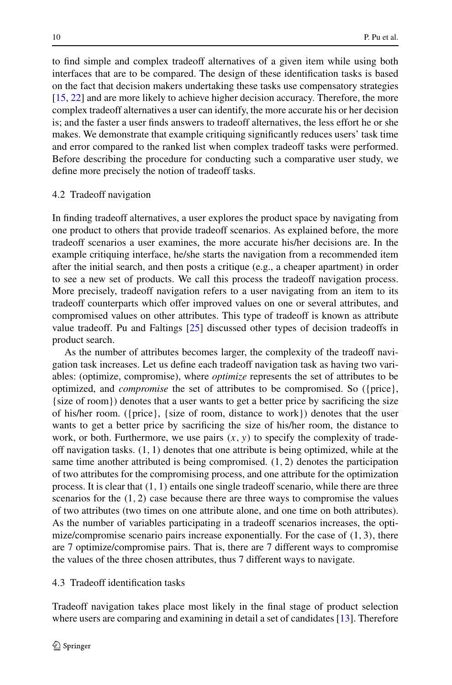to find simple and complex tradeoff alternatives of a given item while using both interfaces that are to be compared. The design of these identification tasks is based on the fact that decision makers undertaking these tasks use compensatory strategies [15, 22] and are more likely to achieve higher decision accuracy. Therefore, the more complex tradeoff alternatives a user can identify, the more accurate his or her decision is; and the faster a user finds answers to tradeoff alternatives, the less effort he or she makes. We demonstrate that example critiquing significantly reduces users' task time and error compared to the ranked list when complex tradeoff tasks were performed. Before describing the procedure for conducting such a comparative user study, we define more precisely the notion of tradeoff tasks.

#### 4.2 Tradeoff navigation

In finding tradeoff alternatives, a user explores the product space by navigating from one product to others that provide tradeoff scenarios. As explained before, the more tradeoff scenarios a user examines, the more accurate his/her decisions are. In the example critiquing interface, he/she starts the navigation from a recommended item after the initial search, and then posts a critique (e.g., a cheaper apartment) in order to see a new set of products. We call this process the tradeoff navigation process. More precisely, tradeoff navigation refers to a user navigating from an item to its tradeoff counterparts which offer improved values on one or several attributes, and compromised values on other attributes. This type of tradeoff is known as attribute value tradeoff. Pu and Faltings [25] discussed other types of decision tradeoffs in product search.

As the number of attributes becomes larger, the complexity of the tradeoff navigation task increases. Let us define each tradeoff navigation task as having two variables: (optimize, compromise), where *optimize* represents the set of attributes to be optimized, and *compromise* the set of attributes to be compromised. So ({price}, {size of room}) denotes that a user wants to get a better price by sacrificing the size of his/her room. ({price}, {size of room, distance to work}) denotes that the user wants to get a better price by sacrificing the size of his/her room, the distance to work, or both. Furthermore, we use pairs  $(x, y)$  to specify the complexity of tradeoff navigation tasks. (1, 1) denotes that one attribute is being optimized, while at the same time another attributed is being compromised. (1, 2) denotes the participation of two attributes for the compromising process, and one attribute for the optimization process. It is clear that  $(1, 1)$  entails one single tradeoff scenario, while there are three scenarios for the (1, 2) case because there are three ways to compromise the values of two attributes (two times on one attribute alone, and one time on both attributes). As the number of variables participating in a tradeoff scenarios increases, the optimize/compromise scenario pairs increase exponentially. For the case of  $(1, 3)$ , there are 7 optimize/compromise pairs. That is, there are 7 different ways to compromise the values of the three chosen attributes, thus 7 different ways to navigate.

## 4.3 Tradeoff identification tasks

Tradeoff navigation takes place most likely in the final stage of product selection where users are comparing and examining in detail a set of candidates [13]. Therefore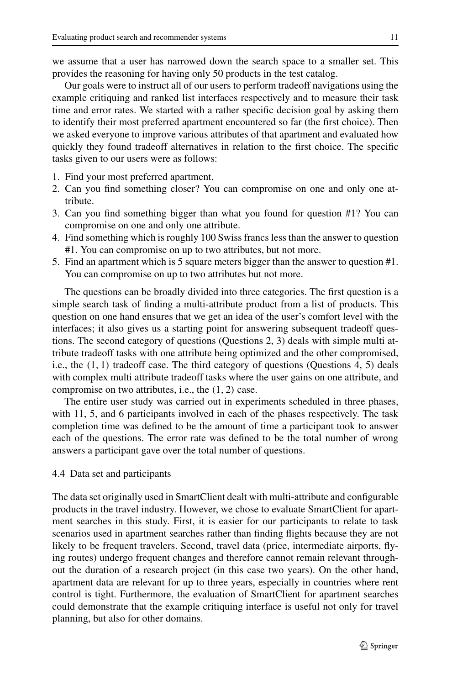we assume that a user has narrowed down the search space to a smaller set. This provides the reasoning for having only 50 products in the test catalog.

Our goals were to instruct all of our users to perform tradeoff navigations using the example critiquing and ranked list interfaces respectively and to measure their task time and error rates. We started with a rather specific decision goal by asking them to identify their most preferred apartment encountered so far (the first choice). Then we asked everyone to improve various attributes of that apartment and evaluated how quickly they found tradeoff alternatives in relation to the first choice. The specific tasks given to our users were as follows:

- 1. Find your most preferred apartment.
- 2. Can you find something closer? You can compromise on one and only one attribute.
- 3. Can you find something bigger than what you found for question #1? You can compromise on one and only one attribute.
- 4. Find something which is roughly 100 Swiss francs less than the answer to question #1. You can compromise on up to two attributes, but not more.
- 5. Find an apartment which is 5 square meters bigger than the answer to question #1. You can compromise on up to two attributes but not more.

The questions can be broadly divided into three categories. The first question is a simple search task of finding a multi-attribute product from a list of products. This question on one hand ensures that we get an idea of the user's comfort level with the interfaces; it also gives us a starting point for answering subsequent tradeoff questions. The second category of questions (Questions 2, 3) deals with simple multi attribute tradeoff tasks with one attribute being optimized and the other compromised, i.e., the (1, 1) tradeoff case. The third category of questions (Questions 4, 5) deals with complex multi attribute tradeoff tasks where the user gains on one attribute, and compromise on two attributes, i.e., the (1, 2) case.

The entire user study was carried out in experiments scheduled in three phases, with 11, 5, and 6 participants involved in each of the phases respectively. The task completion time was defined to be the amount of time a participant took to answer each of the questions. The error rate was defined to be the total number of wrong answers a participant gave over the total number of questions.

## 4.4 Data set and participants

The data set originally used in SmartClient dealt with multi-attribute and configurable products in the travel industry. However, we chose to evaluate SmartClient for apartment searches in this study. First, it is easier for our participants to relate to task scenarios used in apartment searches rather than finding flights because they are not likely to be frequent travelers. Second, travel data (price, intermediate airports, flying routes) undergo frequent changes and therefore cannot remain relevant throughout the duration of a research project (in this case two years). On the other hand, apartment data are relevant for up to three years, especially in countries where rent control is tight. Furthermore, the evaluation of SmartClient for apartment searches could demonstrate that the example critiquing interface is useful not only for travel planning, but also for other domains.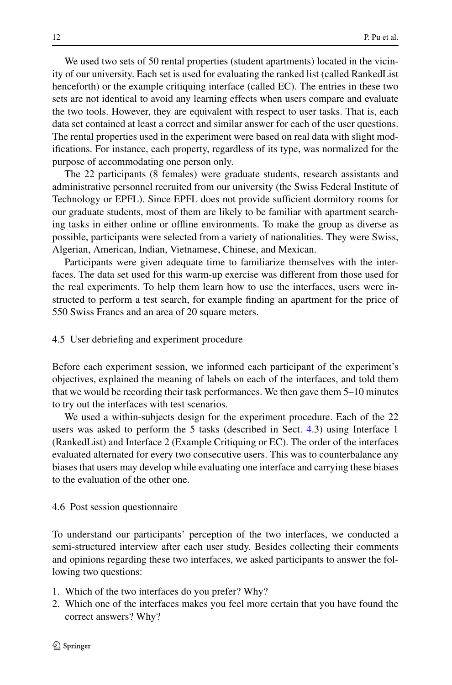We used two sets of 50 rental properties (student apartments) located in the vicinity of our university. Each set is used for evaluating the ranked list (called RankedList henceforth) or the example critiquing interface (called EC). The entries in these two sets are not identical to avoid any learning effects when users compare and evaluate the two tools. However, they are equivalent with respect to user tasks. That is, each data set contained at least a correct and similar answer for each of the user questions. The rental properties used in the experiment were based on real data with slight modifications. For instance, each property, regardless of its type, was normalized for the purpose of accommodating one person only.

The 22 participants (8 females) were graduate students, research assistants and administrative personnel recruited from our university (the Swiss Federal Institute of Technology or EPFL). Since EPFL does not provide sufficient dormitory rooms for our graduate students, most of them are likely to be familiar with apartment searching tasks in either online or offline environments. To make the group as diverse as possible, participants were selected from a variety of nationalities. They were Swiss, Algerian, American, Indian, Vietnamese, Chinese, and Mexican.

Participants were given adequate time to familiarize themselves with the interfaces. The data set used for this warm-up exercise was different from those used for the real experiments. To help them learn how to use the interfaces, users were instructed to perform a test search, for example finding an apartment for the price of 550 Swiss Francs and an area of 20 square meters.

#### 4.5 User debriefing and experiment procedure

Before each experiment session, we informed each participant of the experiment's objectives, explained the meaning of labels on each of the interfaces, and told them that we would be recording their task performances. We then gave them 5–10 minutes to try out the interfaces with test scenarios.

We used a within-subjects design for the experiment procedure. Each of the 22 users was asked to perform the 5 tasks (described in Sect. 4.3) using Interface 1 (RankedList) and Interface 2 (Example Critiquing or EC). The order of the interfaces evaluated alternated for every two consecutive users. This was to counterbalance any biases that users may develop while evaluating one interface and carrying these biases to the evaluation of the other one.

#### 4.6 Post session questionnaire

To understand our participants' perception of the two interfaces, we conducted a semi-structured interview after each user study. Besides collecting their comments and opinions regarding these two interfaces, we asked participants to answer the following two questions:

- 1. Which of the two interfaces do you prefer? Why?
- 2. Which one of the interfaces makes you feel more certain that you have found the correct answers? Why?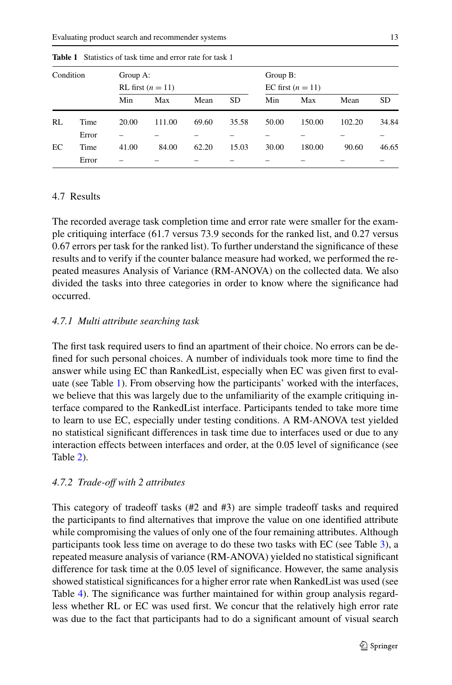| Condition |       | Group A: | RL first $(n = 11)$ |       |       | Group B:<br>EC first $(n = 11)$ |        |        |           |  |
|-----------|-------|----------|---------------------|-------|-------|---------------------------------|--------|--------|-----------|--|
|           |       | Min      | Max                 | Mean  | SD.   | Min                             | Max    | Mean   | <b>SD</b> |  |
| RL        | Time  | 20.00    | 111.00              | 69.60 | 35.58 | 50.00                           | 150.00 | 102.20 | 34.84     |  |
|           | Error |          |                     |       |       |                                 |        |        |           |  |
| EC        | Time  | 41.00    | 84.00               | 62.20 | 15.03 | 30.00                           | 180.00 | 90.60  | 46.65     |  |
|           | Error |          |                     |       |       |                                 |        |        |           |  |

**Table 1** Statistics of task time and error rate for task 1

## 4.7 Results

The recorded average task completion time and error rate were smaller for the example critiquing interface (61.7 versus 73.9 seconds for the ranked list, and 0.27 versus 0.67 errors per task for the ranked list). To further understand the significance of these results and to verify if the counter balance measure had worked, we performed the repeated measures Analysis of Variance (RM-ANOVA) on the collected data. We also divided the tasks into three categories in order to know where the significance had occurred.

## *4.7.1 Multi attribute searching task*

The first task required users to find an apartment of their choice. No errors can be defined for such personal choices. A number of individuals took more time to find the answer while using EC than RankedList, especially when EC was given first to evaluate (see Table 1). From observing how the participants' worked with the interfaces, we believe that this was largely due to the unfamiliarity of the example critiquing interface compared to the RankedList interface. Participants tended to take more time to learn to use EC, especially under testing conditions. A RM-ANOVA test yielded no statistical significant differences in task time due to interfaces used or due to any interaction effects between interfaces and order, at the 0.05 level of significance (see Table 2).

## *4.7.2 Trade-off with 2 attributes*

This category of tradeoff tasks (#2 and #3) are simple tradeoff tasks and required the participants to find alternatives that improve the value on one identified attribute while compromising the values of only one of the four remaining attributes. Although participants took less time on average to do these two tasks with EC (see Table 3), a repeated measure analysis of variance (RM-ANOVA) yielded no statistical significant difference for task time at the 0.05 level of significance. However, the same analysis showed statistical significances for a higher error rate when RankedList was used (see Table 4). The significance was further maintained for within group analysis regardless whether RL or EC was used first. We concur that the relatively high error rate was due to the fact that participants had to do a significant amount of visual search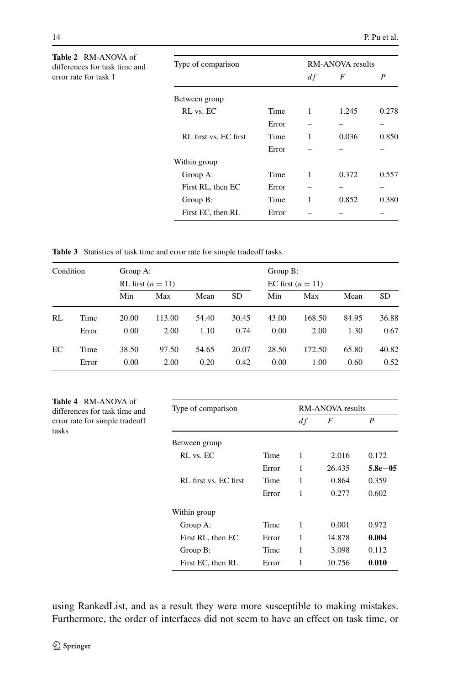| <b>Table 2</b> RM-ANOVA of<br>differences for task time and | Type of comparison    |       |    | RM-ANOVA results |       |
|-------------------------------------------------------------|-----------------------|-------|----|------------------|-------|
| error rate for task 1                                       |                       |       | df | $\boldsymbol{F}$ | P     |
|                                                             | Between group         |       |    |                  |       |
|                                                             | RL vs. EC             | Time  | 1  | 1.245            | 0.278 |
|                                                             |                       | Error |    |                  |       |
|                                                             | RL first vs. EC first | Time  | 1  | 0.036            | 0.850 |
|                                                             |                       | Error |    |                  |       |
|                                                             | Within group          |       |    |                  |       |
|                                                             | Group A:              | Time  | 1  | 0.372            | 0.557 |
|                                                             | First RL, then EC     | Error |    |                  |       |
|                                                             | Group B:              | Time  | 1  | 0.852            | 0.380 |
|                                                             | First EC, then RL     | Error |    |                  |       |

**Table 3** Statistics of task time and error rate for simple tradeoff tasks

| Condition |       | Group A: | RL first $(n = 11)$ |       |           | Group B:<br>EC first $(n = 11)$ |        |       |           |  |
|-----------|-------|----------|---------------------|-------|-----------|---------------------------------|--------|-------|-----------|--|
|           |       | Min      | Max                 | Mean  | <b>SD</b> | Min                             | Max    | Mean  | <b>SD</b> |  |
| RL        | Time  | 20.00    | 113.00              | 54.40 | 30.45     | 43.00                           | 168.50 | 84.95 | 36.88     |  |
|           | Error | 0.00     | 2.00                | 1.10  | 0.74      | 0.00                            | 2.00   | 1.30  | 0.67      |  |
| EC        | Time  | 38.50    | 97.50               | 54.65 | 20.07     | 28.50                           | 172.50 | 65.80 | 40.82     |  |
|           | Error | 0.00     | 2.00                | 0.20  | 0.42      | 0.00                            | 1.00   | 0.60  | 0.52      |  |

| <b>Table 4</b> RM-ANOVA of              |                       |       |    |                         |              |  |  |  |  |
|-----------------------------------------|-----------------------|-------|----|-------------------------|--------------|--|--|--|--|
| differences for task time and           | Type of comparison    |       |    | <b>RM-ANOVA</b> results |              |  |  |  |  |
| error rate for simple tradeoff<br>tasks |                       |       | df | F                       | P            |  |  |  |  |
|                                         | Between group         |       |    |                         |              |  |  |  |  |
|                                         | RL vs. EC             | Time  | 1  | 2.016                   | 0.172        |  |  |  |  |
|                                         |                       | Error | 1  | 26.435                  | $5.8e - 0.5$ |  |  |  |  |
|                                         | RL first vs. EC first | Time  | 1  | 0.864                   | 0.359        |  |  |  |  |
|                                         |                       | Error | 1  | 0.277                   | 0.602        |  |  |  |  |
|                                         | Within group          |       |    |                         |              |  |  |  |  |
|                                         | Group A:              | Time  | 1  | 0.001                   | 0.972        |  |  |  |  |
|                                         | First RL, then EC     | Error | 1  | 14.878                  | 0.004        |  |  |  |  |
|                                         | Group B:              | Time  | 1  | 3.098                   | 0.112        |  |  |  |  |
|                                         | First EC, then RL     | Error |    | 10.756                  | 0.010        |  |  |  |  |

using RankedList, and as a result they were more susceptible to making mistakes. Furthermore, the order of interfaces did not seem to have an effect on task time, or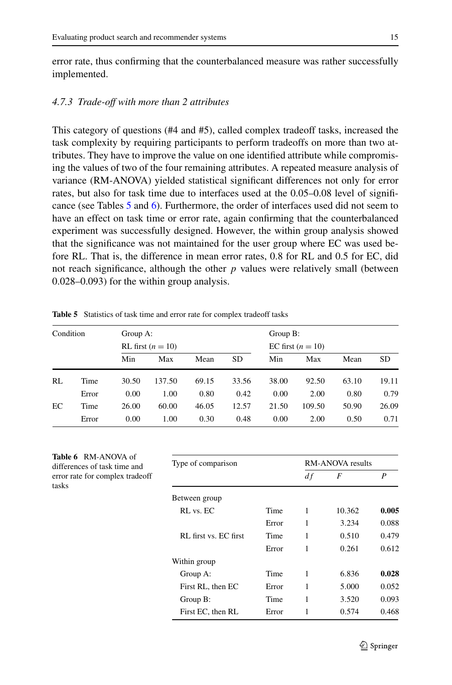error rate, thus confirming that the counterbalanced measure was rather successfully implemented.

## *4.7.3 Trade-off with more than 2 attributes*

This category of questions (#4 and #5), called complex tradeoff tasks, increased the task complexity by requiring participants to perform tradeoffs on more than two attributes. They have to improve the value on one identified attribute while compromising the values of two of the four remaining attributes. A repeated measure analysis of variance (RM-ANOVA) yielded statistical significant differences not only for error rates, but also for task time due to interfaces used at the 0.05–0.08 level of significance (see Tables 5 and 6). Furthermore, the order of interfaces used did not seem to have an effect on task time or error rate, again confirming that the counterbalanced experiment was successfully designed. However, the within group analysis showed that the significance was not maintained for the user group where EC was used before RL. That is, the difference in mean error rates, 0.8 for RL and 0.5 for EC, did not reach significance, although the other  $p$  values were relatively small (between 0.028–0.093) for the within group analysis.

| Condition |       | Group A: |                     |       |           | Group B: |                     |       |           |
|-----------|-------|----------|---------------------|-------|-----------|----------|---------------------|-------|-----------|
|           |       |          | RL first $(n = 10)$ |       |           |          | EC first $(n = 10)$ |       |           |
|           |       | Min      | Max                 | Mean  | <b>SD</b> | Min      | Max                 | Mean  | <b>SD</b> |
| RL        | Time  | 30.50    | 137.50              | 69.15 | 33.56     | 38.00    | 92.50               | 63.10 | 19.11     |
|           | Error | 0.00     | 1.00                | 0.80  | 0.42      | 0.00     | 2.00                | 0.80  | 0.79      |
| EC        | Time  | 26.00    | 60.00               | 46.05 | 12.57     | 21.50    | 109.50              | 50.90 | 26.09     |
|           | Error | 0.00     | 1.00                | 0.30  | 0.48      | 0.00     | 2.00                | 0.50  | 0.71      |

**Table 5** Statistics of task time and error rate for complex tradeoff tasks

| Type of comparison    |       |                  |        |                  |  |  |  |  |  |
|-----------------------|-------|------------------|--------|------------------|--|--|--|--|--|
|                       | df    | $\boldsymbol{F}$ | P      |                  |  |  |  |  |  |
|                       |       |                  |        |                  |  |  |  |  |  |
| Between group         |       |                  |        |                  |  |  |  |  |  |
| RL vs. EC             | Time  | 1                | 10.362 | 0.005            |  |  |  |  |  |
|                       | Error | 1                | 3.234  | 0.088            |  |  |  |  |  |
| RL first vs. EC first | Time  | 1                | 0.510  | 0.479            |  |  |  |  |  |
|                       | Error | 1                | 0.261  | 0.612            |  |  |  |  |  |
| Within group          |       |                  |        |                  |  |  |  |  |  |
| Group A:              | Time  | 1                | 6.836  | 0.028            |  |  |  |  |  |
| First RL, then EC     | Error | 1                | 5.000  | 0.052            |  |  |  |  |  |
| Group B:              | Time  | 1                | 3.520  | 0.093            |  |  |  |  |  |
| First EC, then RL     | Error | 1                | 0.574  | 0.468            |  |  |  |  |  |
|                       |       |                  |        | RM-ANOVA results |  |  |  |  |  |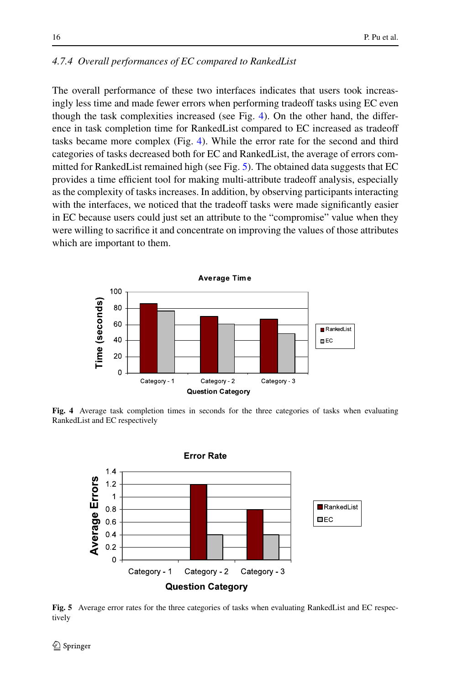### *4.7.4 Overall performances of EC compared to RankedList*

The overall performance of these two interfaces indicates that users took increasingly less time and made fewer errors when performing tradeoff tasks using EC even though the task complexities increased (see Fig. 4). On the other hand, the difference in task completion time for RankedList compared to EC increased as tradeoff tasks became more complex (Fig. 4). While the error rate for the second and third categories of tasks decreased both for EC and RankedList, the average of errors committed for RankedList remained high (see Fig. 5). The obtained data suggests that EC provides a time efficient tool for making multi-attribute tradeoff analysis, especially as the complexity of tasks increases. In addition, by observing participants interacting with the interfaces, we noticed that the tradeoff tasks were made significantly easier in EC because users could just set an attribute to the "compromise" value when they were willing to sacrifice it and concentrate on improving the values of those attributes which are important to them.



**Fig. 4** Average task completion times in seconds for the three categories of tasks when evaluating RankedList and EC respectively



**Fig. 5** Average error rates for the three categories of tasks when evaluating RankedList and EC respectively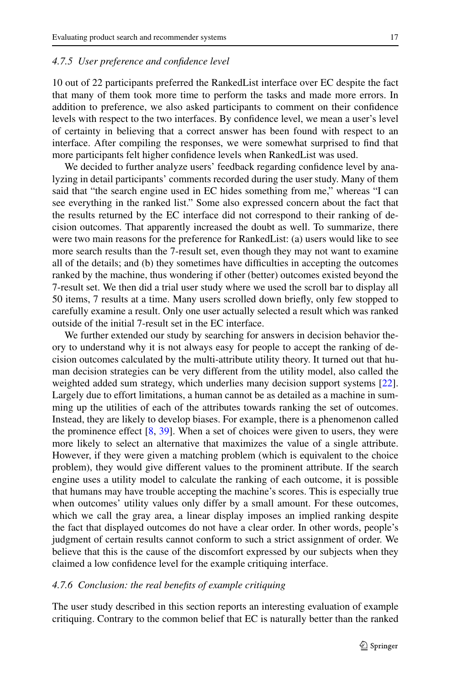## *4.7.5 User preference and confidence level*

10 out of 22 participants preferred the RankedList interface over EC despite the fact that many of them took more time to perform the tasks and made more errors. In addition to preference, we also asked participants to comment on their confidence levels with respect to the two interfaces. By confidence level, we mean a user's level of certainty in believing that a correct answer has been found with respect to an interface. After compiling the responses, we were somewhat surprised to find that more participants felt higher confidence levels when RankedList was used.

We decided to further analyze users' feedback regarding confidence level by analyzing in detail participants' comments recorded during the user study. Many of them said that "the search engine used in EC hides something from me," whereas "I can see everything in the ranked list." Some also expressed concern about the fact that the results returned by the EC interface did not correspond to their ranking of decision outcomes. That apparently increased the doubt as well. To summarize, there were two main reasons for the preference for RankedList: (a) users would like to see more search results than the 7-result set, even though they may not want to examine all of the details; and (b) they sometimes have difficulties in accepting the outcomes ranked by the machine, thus wondering if other (better) outcomes existed beyond the 7-result set. We then did a trial user study where we used the scroll bar to display all 50 items, 7 results at a time. Many users scrolled down briefly, only few stopped to carefully examine a result. Only one user actually selected a result which was ranked outside of the initial 7-result set in the EC interface.

We further extended our study by searching for answers in decision behavior theory to understand why it is not always easy for people to accept the ranking of decision outcomes calculated by the multi-attribute utility theory. It turned out that human decision strategies can be very different from the utility model, also called the weighted added sum strategy, which underlies many decision support systems [22]. Largely due to effort limitations, a human cannot be as detailed as a machine in summing up the utilities of each of the attributes towards ranking the set of outcomes. Instead, they are likely to develop biases. For example, there is a phenomenon called the prominence effect  $[8, 39]$ . When a set of choices were given to users, they were more likely to select an alternative that maximizes the value of a single attribute. However, if they were given a matching problem (which is equivalent to the choice problem), they would give different values to the prominent attribute. If the search engine uses a utility model to calculate the ranking of each outcome, it is possible that humans may have trouble accepting the machine's scores. This is especially true when outcomes' utility values only differ by a small amount. For these outcomes, which we call the gray area, a linear display imposes an implied ranking despite the fact that displayed outcomes do not have a clear order. In other words, people's judgment of certain results cannot conform to such a strict assignment of order. We believe that this is the cause of the discomfort expressed by our subjects when they claimed a low confidence level for the example critiquing interface.

## *4.7.6 Conclusion: the real benefits of example critiquing*

The user study described in this section reports an interesting evaluation of example critiquing. Contrary to the common belief that EC is naturally better than the ranked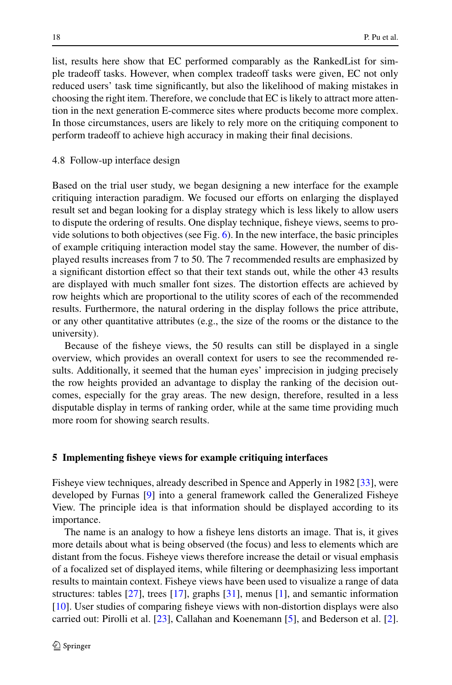list, results here show that EC performed comparably as the RankedList for simple tradeoff tasks. However, when complex tradeoff tasks were given, EC not only reduced users' task time significantly, but also the likelihood of making mistakes in choosing the right item. Therefore, we conclude that EC is likely to attract more attention in the next generation E-commerce sites where products become more complex. In those circumstances, users are likely to rely more on the critiquing component to perform tradeoff to achieve high accuracy in making their final decisions.

#### 4.8 Follow-up interface design

Based on the trial user study, we began designing a new interface for the example critiquing interaction paradigm. We focused our efforts on enlarging the displayed result set and began looking for a display strategy which is less likely to allow users to dispute the ordering of results. One display technique, fisheye views, seems to provide solutions to both objectives (see Fig. 6). In the new interface, the basic principles of example critiquing interaction model stay the same. However, the number of displayed results increases from 7 to 50. The 7 recommended results are emphasized by a significant distortion effect so that their text stands out, while the other 43 results are displayed with much smaller font sizes. The distortion effects are achieved by row heights which are proportional to the utility scores of each of the recommended results. Furthermore, the natural ordering in the display follows the price attribute, or any other quantitative attributes (e.g., the size of the rooms or the distance to the university).

Because of the fisheye views, the 50 results can still be displayed in a single overview, which provides an overall context for users to see the recommended results. Additionally, it seemed that the human eyes' imprecision in judging precisely the row heights provided an advantage to display the ranking of the decision outcomes, especially for the gray areas. The new design, therefore, resulted in a less disputable display in terms of ranking order, while at the same time providing much more room for showing search results.

#### **5 Implementing fisheye views for example critiquing interfaces**

Fisheye view techniques, already described in Spence and Apperly in 1982 [33], were developed by Furnas [9] into a general framework called the Generalized Fisheye View. The principle idea is that information should be displayed according to its importance.

The name is an analogy to how a fisheye lens distorts an image. That is, it gives more details about what is being observed (the focus) and less to elements which are distant from the focus. Fisheye views therefore increase the detail or visual emphasis of a focalized set of displayed items, while filtering or deemphasizing less important results to maintain context. Fisheye views have been used to visualize a range of data structures: tables [27], trees [17], graphs [31], menus [1], and semantic information [10]. User studies of comparing fisheye views with non-distortion displays were also carried out: Pirolli et al. [23], Callahan and Koenemann [5], and Bederson et al. [2].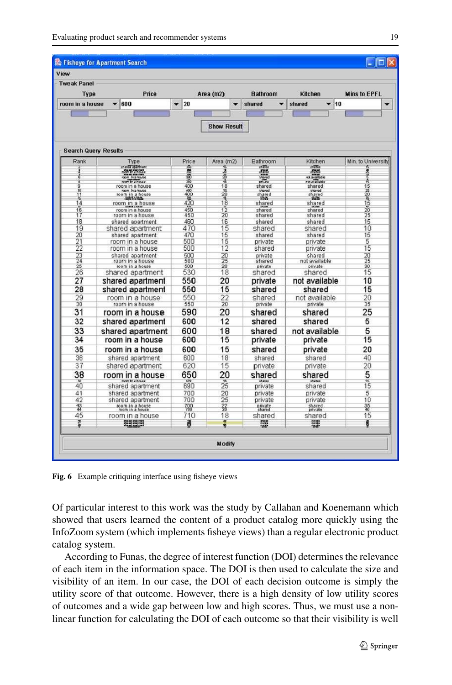| Price<br><b>Bathroom</b><br>Kitchen<br>Type<br>Area (m2)<br>$\blacktriangledown$ 600<br>20<br>10<br>room in a house<br>shared<br>shared<br>v<br>$\cdot$<br>$\mathbf{r}$<br><b>Show Result</b><br><b>Search Query Results</b><br>Rank<br>Price<br>Area (m2)<br>Bathroom<br>Kitchen<br>Type<br>country aparts and<br>Adams and artists<br>cristico<br>$-3750$<br>高麗盤<br>清陽<br>75.55<br>医鼻<br><b>FORMS STATISTICS</b><br>3<br>$\begin{array}{r} 1.9848 \\ 1.98488 \\ \hline 1.9448 \\ \end{array}$<br>sa avallasie<br>room to a house<br>遂<br>not available<br>ñ<br>ñ<br>400<br>15280<br>$\frac{18}{20}$<br>9<br>shared<br>shared<br>room in a house<br>ñ<br>430450<br>com ha have<br>room in a house<br>shared<br>shared<br>ÿ<br>shared<br>shared<br><b>Batt</b><br><b>RAGE</b><br>$\frac{18}{12}$<br>$\frac{15}{20}$<br>14<br>room in a house<br>shared<br>shared<br>16<br>shared<br>room in a house<br>shared<br>450<br>20<br>25<br>17<br>room in a house<br>shared<br>shared<br>15<br>460<br>16<br>18<br>shared apartment<br>shared<br>shared<br>15<br>19<br>470<br>10<br>shared apartment<br>shared<br>shared<br>20<br>470<br>15<br>shared apartment<br>15<br>shared<br>shared<br>15<br>$^{21}$<br>500<br>5<br>room in a house<br>private<br>private<br>22<br>12<br>15<br>500<br>room in a house<br>shared<br>private<br>23<br>500<br>20<br>20<br>shared apartment<br>shared<br>private<br>$\overline{24}$<br>500<br>25<br>25<br>room in a house<br>not available<br>shared<br>25<br>500<br>$_{20}$<br>30<br>room in a house<br>private<br>private<br>26<br>530<br>18<br>15<br>shared apartment<br>shared<br>shared<br>27<br>550<br>20<br>10<br>shared apartment<br>private<br>not available<br>28<br>550<br>15<br>15<br>shared apartment<br>shared<br>shared<br>29<br>550<br>22<br>shared<br>not available<br>20<br>room in a house<br>30<br>room in a house<br>550<br>20<br>35<br>private<br>private<br>25<br>31<br>590<br>20<br>room in a house<br>shared<br>shared<br>32<br>12<br>shared apartment<br>600<br>shared<br>5<br>shared<br>5<br>33<br>600<br>18<br>not available<br>shared apartment<br>shared<br>34<br>600<br>15<br>15<br>room in a house<br>private<br>private<br>35<br>15<br>600<br>20<br>room in a house<br>shared<br>private<br>36<br>shared apartment<br>600<br>18<br>shared<br>shared<br>40<br>15<br>37<br>620<br>20<br>shared apartment<br>private<br>private<br>5<br>38<br>650<br>20<br>room in a house<br>shared<br>shared<br>55<br>noon in a house<br>shared<br>shared<br>40<br>690<br>25<br>15<br>shared<br>shared apartment<br>private<br>700<br>20<br>5<br>41<br>shared apartment<br>private<br>private<br>42<br>25<br>10<br>700<br>shared apartment<br>private<br>private<br>$rac{43}{44}$<br>388<br>toom in a house<br>room in a house<br>$\frac{22}{26}$<br>$\frac{35}{40}$<br>private<br>shared<br>shared<br>private<br>45<br>710<br>18<br>15<br>shared<br>room in a house<br>shared<br>禁留<br>š<br>strand and most<br>Strand and most<br>strand and most<br>ana at<br>Bhaile<br>鹽<br>쾶 | View               |  |  |                          |
|---------------------------------------------------------------------------------------------------------------------------------------------------------------------------------------------------------------------------------------------------------------------------------------------------------------------------------------------------------------------------------------------------------------------------------------------------------------------------------------------------------------------------------------------------------------------------------------------------------------------------------------------------------------------------------------------------------------------------------------------------------------------------------------------------------------------------------------------------------------------------------------------------------------------------------------------------------------------------------------------------------------------------------------------------------------------------------------------------------------------------------------------------------------------------------------------------------------------------------------------------------------------------------------------------------------------------------------------------------------------------------------------------------------------------------------------------------------------------------------------------------------------------------------------------------------------------------------------------------------------------------------------------------------------------------------------------------------------------------------------------------------------------------------------------------------------------------------------------------------------------------------------------------------------------------------------------------------------------------------------------------------------------------------------------------------------------------------------------------------------------------------------------------------------------------------------------------------------------------------------------------------------------------------------------------------------------------------------------------------------------------------------------------------------------------------------------------------------------------------------------------------------------------------------------------------------------------------------------------------------------------------------------------------------------------------------------------------------------------------------------------------------------------------------------------------------------------------------------------------------------------------------------------------------------------------------------------------------------------------------------------------------------|--------------------|--|--|--------------------------|
|                                                                                                                                                                                                                                                                                                                                                                                                                                                                                                                                                                                                                                                                                                                                                                                                                                                                                                                                                                                                                                                                                                                                                                                                                                                                                                                                                                                                                                                                                                                                                                                                                                                                                                                                                                                                                                                                                                                                                                                                                                                                                                                                                                                                                                                                                                                                                                                                                                                                                                                                                                                                                                                                                                                                                                                                                                                                                                                                                                                                                           | <b>Tweak Panel</b> |  |  |                          |
|                                                                                                                                                                                                                                                                                                                                                                                                                                                                                                                                                                                                                                                                                                                                                                                                                                                                                                                                                                                                                                                                                                                                                                                                                                                                                                                                                                                                                                                                                                                                                                                                                                                                                                                                                                                                                                                                                                                                                                                                                                                                                                                                                                                                                                                                                                                                                                                                                                                                                                                                                                                                                                                                                                                                                                                                                                                                                                                                                                                                                           |                    |  |  | <b>Mins to EPFL</b>      |
|                                                                                                                                                                                                                                                                                                                                                                                                                                                                                                                                                                                                                                                                                                                                                                                                                                                                                                                                                                                                                                                                                                                                                                                                                                                                                                                                                                                                                                                                                                                                                                                                                                                                                                                                                                                                                                                                                                                                                                                                                                                                                                                                                                                                                                                                                                                                                                                                                                                                                                                                                                                                                                                                                                                                                                                                                                                                                                                                                                                                                           |                    |  |  | $\overline{\phantom{a}}$ |
|                                                                                                                                                                                                                                                                                                                                                                                                                                                                                                                                                                                                                                                                                                                                                                                                                                                                                                                                                                                                                                                                                                                                                                                                                                                                                                                                                                                                                                                                                                                                                                                                                                                                                                                                                                                                                                                                                                                                                                                                                                                                                                                                                                                                                                                                                                                                                                                                                                                                                                                                                                                                                                                                                                                                                                                                                                                                                                                                                                                                                           |                    |  |  |                          |
|                                                                                                                                                                                                                                                                                                                                                                                                                                                                                                                                                                                                                                                                                                                                                                                                                                                                                                                                                                                                                                                                                                                                                                                                                                                                                                                                                                                                                                                                                                                                                                                                                                                                                                                                                                                                                                                                                                                                                                                                                                                                                                                                                                                                                                                                                                                                                                                                                                                                                                                                                                                                                                                                                                                                                                                                                                                                                                                                                                                                                           |                    |  |  |                          |
|                                                                                                                                                                                                                                                                                                                                                                                                                                                                                                                                                                                                                                                                                                                                                                                                                                                                                                                                                                                                                                                                                                                                                                                                                                                                                                                                                                                                                                                                                                                                                                                                                                                                                                                                                                                                                                                                                                                                                                                                                                                                                                                                                                                                                                                                                                                                                                                                                                                                                                                                                                                                                                                                                                                                                                                                                                                                                                                                                                                                                           |                    |  |  |                          |
|                                                                                                                                                                                                                                                                                                                                                                                                                                                                                                                                                                                                                                                                                                                                                                                                                                                                                                                                                                                                                                                                                                                                                                                                                                                                                                                                                                                                                                                                                                                                                                                                                                                                                                                                                                                                                                                                                                                                                                                                                                                                                                                                                                                                                                                                                                                                                                                                                                                                                                                                                                                                                                                                                                                                                                                                                                                                                                                                                                                                                           |                    |  |  |                          |
|                                                                                                                                                                                                                                                                                                                                                                                                                                                                                                                                                                                                                                                                                                                                                                                                                                                                                                                                                                                                                                                                                                                                                                                                                                                                                                                                                                                                                                                                                                                                                                                                                                                                                                                                                                                                                                                                                                                                                                                                                                                                                                                                                                                                                                                                                                                                                                                                                                                                                                                                                                                                                                                                                                                                                                                                                                                                                                                                                                                                                           |                    |  |  |                          |
|                                                                                                                                                                                                                                                                                                                                                                                                                                                                                                                                                                                                                                                                                                                                                                                                                                                                                                                                                                                                                                                                                                                                                                                                                                                                                                                                                                                                                                                                                                                                                                                                                                                                                                                                                                                                                                                                                                                                                                                                                                                                                                                                                                                                                                                                                                                                                                                                                                                                                                                                                                                                                                                                                                                                                                                                                                                                                                                                                                                                                           |                    |  |  | Min. to University       |
|                                                                                                                                                                                                                                                                                                                                                                                                                                                                                                                                                                                                                                                                                                                                                                                                                                                                                                                                                                                                                                                                                                                                                                                                                                                                                                                                                                                                                                                                                                                                                                                                                                                                                                                                                                                                                                                                                                                                                                                                                                                                                                                                                                                                                                                                                                                                                                                                                                                                                                                                                                                                                                                                                                                                                                                                                                                                                                                                                                                                                           |                    |  |  |                          |
|                                                                                                                                                                                                                                                                                                                                                                                                                                                                                                                                                                                                                                                                                                                                                                                                                                                                                                                                                                                                                                                                                                                                                                                                                                                                                                                                                                                                                                                                                                                                                                                                                                                                                                                                                                                                                                                                                                                                                                                                                                                                                                                                                                                                                                                                                                                                                                                                                                                                                                                                                                                                                                                                                                                                                                                                                                                                                                                                                                                                                           |                    |  |  |                          |
|                                                                                                                                                                                                                                                                                                                                                                                                                                                                                                                                                                                                                                                                                                                                                                                                                                                                                                                                                                                                                                                                                                                                                                                                                                                                                                                                                                                                                                                                                                                                                                                                                                                                                                                                                                                                                                                                                                                                                                                                                                                                                                                                                                                                                                                                                                                                                                                                                                                                                                                                                                                                                                                                                                                                                                                                                                                                                                                                                                                                                           |                    |  |  |                          |
|                                                                                                                                                                                                                                                                                                                                                                                                                                                                                                                                                                                                                                                                                                                                                                                                                                                                                                                                                                                                                                                                                                                                                                                                                                                                                                                                                                                                                                                                                                                                                                                                                                                                                                                                                                                                                                                                                                                                                                                                                                                                                                                                                                                                                                                                                                                                                                                                                                                                                                                                                                                                                                                                                                                                                                                                                                                                                                                                                                                                                           |                    |  |  |                          |
|                                                                                                                                                                                                                                                                                                                                                                                                                                                                                                                                                                                                                                                                                                                                                                                                                                                                                                                                                                                                                                                                                                                                                                                                                                                                                                                                                                                                                                                                                                                                                                                                                                                                                                                                                                                                                                                                                                                                                                                                                                                                                                                                                                                                                                                                                                                                                                                                                                                                                                                                                                                                                                                                                                                                                                                                                                                                                                                                                                                                                           |                    |  |  |                          |
|                                                                                                                                                                                                                                                                                                                                                                                                                                                                                                                                                                                                                                                                                                                                                                                                                                                                                                                                                                                                                                                                                                                                                                                                                                                                                                                                                                                                                                                                                                                                                                                                                                                                                                                                                                                                                                                                                                                                                                                                                                                                                                                                                                                                                                                                                                                                                                                                                                                                                                                                                                                                                                                                                                                                                                                                                                                                                                                                                                                                                           |                    |  |  |                          |
|                                                                                                                                                                                                                                                                                                                                                                                                                                                                                                                                                                                                                                                                                                                                                                                                                                                                                                                                                                                                                                                                                                                                                                                                                                                                                                                                                                                                                                                                                                                                                                                                                                                                                                                                                                                                                                                                                                                                                                                                                                                                                                                                                                                                                                                                                                                                                                                                                                                                                                                                                                                                                                                                                                                                                                                                                                                                                                                                                                                                                           |                    |  |  |                          |
|                                                                                                                                                                                                                                                                                                                                                                                                                                                                                                                                                                                                                                                                                                                                                                                                                                                                                                                                                                                                                                                                                                                                                                                                                                                                                                                                                                                                                                                                                                                                                                                                                                                                                                                                                                                                                                                                                                                                                                                                                                                                                                                                                                                                                                                                                                                                                                                                                                                                                                                                                                                                                                                                                                                                                                                                                                                                                                                                                                                                                           |                    |  |  |                          |
|                                                                                                                                                                                                                                                                                                                                                                                                                                                                                                                                                                                                                                                                                                                                                                                                                                                                                                                                                                                                                                                                                                                                                                                                                                                                                                                                                                                                                                                                                                                                                                                                                                                                                                                                                                                                                                                                                                                                                                                                                                                                                                                                                                                                                                                                                                                                                                                                                                                                                                                                                                                                                                                                                                                                                                                                                                                                                                                                                                                                                           |                    |  |  |                          |
|                                                                                                                                                                                                                                                                                                                                                                                                                                                                                                                                                                                                                                                                                                                                                                                                                                                                                                                                                                                                                                                                                                                                                                                                                                                                                                                                                                                                                                                                                                                                                                                                                                                                                                                                                                                                                                                                                                                                                                                                                                                                                                                                                                                                                                                                                                                                                                                                                                                                                                                                                                                                                                                                                                                                                                                                                                                                                                                                                                                                                           |                    |  |  |                          |
|                                                                                                                                                                                                                                                                                                                                                                                                                                                                                                                                                                                                                                                                                                                                                                                                                                                                                                                                                                                                                                                                                                                                                                                                                                                                                                                                                                                                                                                                                                                                                                                                                                                                                                                                                                                                                                                                                                                                                                                                                                                                                                                                                                                                                                                                                                                                                                                                                                                                                                                                                                                                                                                                                                                                                                                                                                                                                                                                                                                                                           |                    |  |  |                          |
|                                                                                                                                                                                                                                                                                                                                                                                                                                                                                                                                                                                                                                                                                                                                                                                                                                                                                                                                                                                                                                                                                                                                                                                                                                                                                                                                                                                                                                                                                                                                                                                                                                                                                                                                                                                                                                                                                                                                                                                                                                                                                                                                                                                                                                                                                                                                                                                                                                                                                                                                                                                                                                                                                                                                                                                                                                                                                                                                                                                                                           |                    |  |  |                          |
|                                                                                                                                                                                                                                                                                                                                                                                                                                                                                                                                                                                                                                                                                                                                                                                                                                                                                                                                                                                                                                                                                                                                                                                                                                                                                                                                                                                                                                                                                                                                                                                                                                                                                                                                                                                                                                                                                                                                                                                                                                                                                                                                                                                                                                                                                                                                                                                                                                                                                                                                                                                                                                                                                                                                                                                                                                                                                                                                                                                                                           |                    |  |  |                          |
|                                                                                                                                                                                                                                                                                                                                                                                                                                                                                                                                                                                                                                                                                                                                                                                                                                                                                                                                                                                                                                                                                                                                                                                                                                                                                                                                                                                                                                                                                                                                                                                                                                                                                                                                                                                                                                                                                                                                                                                                                                                                                                                                                                                                                                                                                                                                                                                                                                                                                                                                                                                                                                                                                                                                                                                                                                                                                                                                                                                                                           |                    |  |  |                          |
|                                                                                                                                                                                                                                                                                                                                                                                                                                                                                                                                                                                                                                                                                                                                                                                                                                                                                                                                                                                                                                                                                                                                                                                                                                                                                                                                                                                                                                                                                                                                                                                                                                                                                                                                                                                                                                                                                                                                                                                                                                                                                                                                                                                                                                                                                                                                                                                                                                                                                                                                                                                                                                                                                                                                                                                                                                                                                                                                                                                                                           |                    |  |  |                          |
|                                                                                                                                                                                                                                                                                                                                                                                                                                                                                                                                                                                                                                                                                                                                                                                                                                                                                                                                                                                                                                                                                                                                                                                                                                                                                                                                                                                                                                                                                                                                                                                                                                                                                                                                                                                                                                                                                                                                                                                                                                                                                                                                                                                                                                                                                                                                                                                                                                                                                                                                                                                                                                                                                                                                                                                                                                                                                                                                                                                                                           |                    |  |  |                          |
|                                                                                                                                                                                                                                                                                                                                                                                                                                                                                                                                                                                                                                                                                                                                                                                                                                                                                                                                                                                                                                                                                                                                                                                                                                                                                                                                                                                                                                                                                                                                                                                                                                                                                                                                                                                                                                                                                                                                                                                                                                                                                                                                                                                                                                                                                                                                                                                                                                                                                                                                                                                                                                                                                                                                                                                                                                                                                                                                                                                                                           |                    |  |  |                          |
|                                                                                                                                                                                                                                                                                                                                                                                                                                                                                                                                                                                                                                                                                                                                                                                                                                                                                                                                                                                                                                                                                                                                                                                                                                                                                                                                                                                                                                                                                                                                                                                                                                                                                                                                                                                                                                                                                                                                                                                                                                                                                                                                                                                                                                                                                                                                                                                                                                                                                                                                                                                                                                                                                                                                                                                                                                                                                                                                                                                                                           |                    |  |  |                          |
|                                                                                                                                                                                                                                                                                                                                                                                                                                                                                                                                                                                                                                                                                                                                                                                                                                                                                                                                                                                                                                                                                                                                                                                                                                                                                                                                                                                                                                                                                                                                                                                                                                                                                                                                                                                                                                                                                                                                                                                                                                                                                                                                                                                                                                                                                                                                                                                                                                                                                                                                                                                                                                                                                                                                                                                                                                                                                                                                                                                                                           |                    |  |  |                          |
|                                                                                                                                                                                                                                                                                                                                                                                                                                                                                                                                                                                                                                                                                                                                                                                                                                                                                                                                                                                                                                                                                                                                                                                                                                                                                                                                                                                                                                                                                                                                                                                                                                                                                                                                                                                                                                                                                                                                                                                                                                                                                                                                                                                                                                                                                                                                                                                                                                                                                                                                                                                                                                                                                                                                                                                                                                                                                                                                                                                                                           |                    |  |  |                          |
|                                                                                                                                                                                                                                                                                                                                                                                                                                                                                                                                                                                                                                                                                                                                                                                                                                                                                                                                                                                                                                                                                                                                                                                                                                                                                                                                                                                                                                                                                                                                                                                                                                                                                                                                                                                                                                                                                                                                                                                                                                                                                                                                                                                                                                                                                                                                                                                                                                                                                                                                                                                                                                                                                                                                                                                                                                                                                                                                                                                                                           |                    |  |  |                          |
|                                                                                                                                                                                                                                                                                                                                                                                                                                                                                                                                                                                                                                                                                                                                                                                                                                                                                                                                                                                                                                                                                                                                                                                                                                                                                                                                                                                                                                                                                                                                                                                                                                                                                                                                                                                                                                                                                                                                                                                                                                                                                                                                                                                                                                                                                                                                                                                                                                                                                                                                                                                                                                                                                                                                                                                                                                                                                                                                                                                                                           |                    |  |  |                          |
|                                                                                                                                                                                                                                                                                                                                                                                                                                                                                                                                                                                                                                                                                                                                                                                                                                                                                                                                                                                                                                                                                                                                                                                                                                                                                                                                                                                                                                                                                                                                                                                                                                                                                                                                                                                                                                                                                                                                                                                                                                                                                                                                                                                                                                                                                                                                                                                                                                                                                                                                                                                                                                                                                                                                                                                                                                                                                                                                                                                                                           |                    |  |  |                          |
|                                                                                                                                                                                                                                                                                                                                                                                                                                                                                                                                                                                                                                                                                                                                                                                                                                                                                                                                                                                                                                                                                                                                                                                                                                                                                                                                                                                                                                                                                                                                                                                                                                                                                                                                                                                                                                                                                                                                                                                                                                                                                                                                                                                                                                                                                                                                                                                                                                                                                                                                                                                                                                                                                                                                                                                                                                                                                                                                                                                                                           |                    |  |  |                          |
|                                                                                                                                                                                                                                                                                                                                                                                                                                                                                                                                                                                                                                                                                                                                                                                                                                                                                                                                                                                                                                                                                                                                                                                                                                                                                                                                                                                                                                                                                                                                                                                                                                                                                                                                                                                                                                                                                                                                                                                                                                                                                                                                                                                                                                                                                                                                                                                                                                                                                                                                                                                                                                                                                                                                                                                                                                                                                                                                                                                                                           |                    |  |  |                          |
|                                                                                                                                                                                                                                                                                                                                                                                                                                                                                                                                                                                                                                                                                                                                                                                                                                                                                                                                                                                                                                                                                                                                                                                                                                                                                                                                                                                                                                                                                                                                                                                                                                                                                                                                                                                                                                                                                                                                                                                                                                                                                                                                                                                                                                                                                                                                                                                                                                                                                                                                                                                                                                                                                                                                                                                                                                                                                                                                                                                                                           |                    |  |  |                          |
|                                                                                                                                                                                                                                                                                                                                                                                                                                                                                                                                                                                                                                                                                                                                                                                                                                                                                                                                                                                                                                                                                                                                                                                                                                                                                                                                                                                                                                                                                                                                                                                                                                                                                                                                                                                                                                                                                                                                                                                                                                                                                                                                                                                                                                                                                                                                                                                                                                                                                                                                                                                                                                                                                                                                                                                                                                                                                                                                                                                                                           |                    |  |  |                          |
|                                                                                                                                                                                                                                                                                                                                                                                                                                                                                                                                                                                                                                                                                                                                                                                                                                                                                                                                                                                                                                                                                                                                                                                                                                                                                                                                                                                                                                                                                                                                                                                                                                                                                                                                                                                                                                                                                                                                                                                                                                                                                                                                                                                                                                                                                                                                                                                                                                                                                                                                                                                                                                                                                                                                                                                                                                                                                                                                                                                                                           |                    |  |  |                          |
|                                                                                                                                                                                                                                                                                                                                                                                                                                                                                                                                                                                                                                                                                                                                                                                                                                                                                                                                                                                                                                                                                                                                                                                                                                                                                                                                                                                                                                                                                                                                                                                                                                                                                                                                                                                                                                                                                                                                                                                                                                                                                                                                                                                                                                                                                                                                                                                                                                                                                                                                                                                                                                                                                                                                                                                                                                                                                                                                                                                                                           |                    |  |  |                          |
|                                                                                                                                                                                                                                                                                                                                                                                                                                                                                                                                                                                                                                                                                                                                                                                                                                                                                                                                                                                                                                                                                                                                                                                                                                                                                                                                                                                                                                                                                                                                                                                                                                                                                                                                                                                                                                                                                                                                                                                                                                                                                                                                                                                                                                                                                                                                                                                                                                                                                                                                                                                                                                                                                                                                                                                                                                                                                                                                                                                                                           |                    |  |  |                          |
|                                                                                                                                                                                                                                                                                                                                                                                                                                                                                                                                                                                                                                                                                                                                                                                                                                                                                                                                                                                                                                                                                                                                                                                                                                                                                                                                                                                                                                                                                                                                                                                                                                                                                                                                                                                                                                                                                                                                                                                                                                                                                                                                                                                                                                                                                                                                                                                                                                                                                                                                                                                                                                                                                                                                                                                                                                                                                                                                                                                                                           |                    |  |  |                          |
|                                                                                                                                                                                                                                                                                                                                                                                                                                                                                                                                                                                                                                                                                                                                                                                                                                                                                                                                                                                                                                                                                                                                                                                                                                                                                                                                                                                                                                                                                                                                                                                                                                                                                                                                                                                                                                                                                                                                                                                                                                                                                                                                                                                                                                                                                                                                                                                                                                                                                                                                                                                                                                                                                                                                                                                                                                                                                                                                                                                                                           |                    |  |  |                          |
|                                                                                                                                                                                                                                                                                                                                                                                                                                                                                                                                                                                                                                                                                                                                                                                                                                                                                                                                                                                                                                                                                                                                                                                                                                                                                                                                                                                                                                                                                                                                                                                                                                                                                                                                                                                                                                                                                                                                                                                                                                                                                                                                                                                                                                                                                                                                                                                                                                                                                                                                                                                                                                                                                                                                                                                                                                                                                                                                                                                                                           |                    |  |  |                          |
|                                                                                                                                                                                                                                                                                                                                                                                                                                                                                                                                                                                                                                                                                                                                                                                                                                                                                                                                                                                                                                                                                                                                                                                                                                                                                                                                                                                                                                                                                                                                                                                                                                                                                                                                                                                                                                                                                                                                                                                                                                                                                                                                                                                                                                                                                                                                                                                                                                                                                                                                                                                                                                                                                                                                                                                                                                                                                                                                                                                                                           |                    |  |  |                          |
|                                                                                                                                                                                                                                                                                                                                                                                                                                                                                                                                                                                                                                                                                                                                                                                                                                                                                                                                                                                                                                                                                                                                                                                                                                                                                                                                                                                                                                                                                                                                                                                                                                                                                                                                                                                                                                                                                                                                                                                                                                                                                                                                                                                                                                                                                                                                                                                                                                                                                                                                                                                                                                                                                                                                                                                                                                                                                                                                                                                                                           |                    |  |  |                          |

**Fig. 6** Example critiquing interface using fisheye views

Of particular interest to this work was the study by Callahan and Koenemann which showed that users learned the content of a product catalog more quickly using the InfoZoom system (which implements fisheye views) than a regular electronic product catalog system.

According to Funas, the degree of interest function (DOI) determines the relevance of each item in the information space. The DOI is then used to calculate the size and visibility of an item. In our case, the DOI of each decision outcome is simply the utility score of that outcome. However, there is a high density of low utility scores of outcomes and a wide gap between low and high scores. Thus, we must use a nonlinear function for calculating the DOI of each outcome so that their visibility is well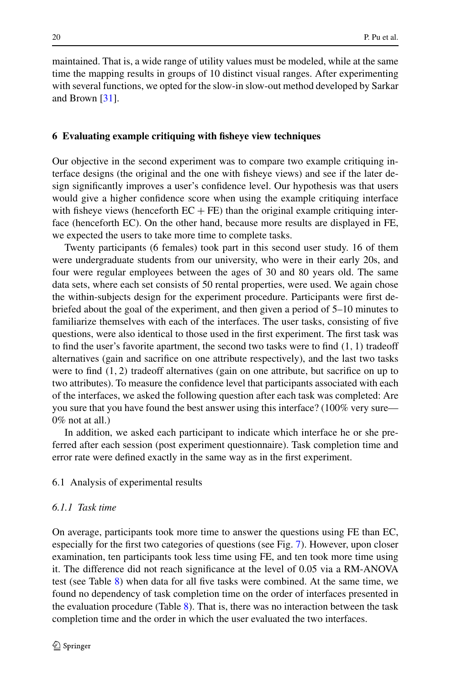maintained. That is, a wide range of utility values must be modeled, while at the same time the mapping results in groups of 10 distinct visual ranges. After experimenting with several functions, we opted for the slow-in slow-out method developed by Sarkar and Brown [31].

#### **6 Evaluating example critiquing with fisheye view techniques**

Our objective in the second experiment was to compare two example critiquing interface designs (the original and the one with fisheye views) and see if the later design significantly improves a user's confidence level. Our hypothesis was that users would give a higher confidence score when using the example critiquing interface with fisheye views (henceforth  $EC + FE$ ) than the original example critiquing interface (henceforth EC). On the other hand, because more results are displayed in FE, we expected the users to take more time to complete tasks.

Twenty participants (6 females) took part in this second user study. 16 of them were undergraduate students from our university, who were in their early 20s, and four were regular employees between the ages of 30 and 80 years old. The same data sets, where each set consists of 50 rental properties, were used. We again chose the within-subjects design for the experiment procedure. Participants were first debriefed about the goal of the experiment, and then given a period of 5–10 minutes to familiarize themselves with each of the interfaces. The user tasks, consisting of five questions, were also identical to those used in the first experiment. The first task was to find the user's favorite apartment, the second two tasks were to find  $(1, 1)$  tradeoff alternatives (gain and sacrifice on one attribute respectively), and the last two tasks were to find  $(1, 2)$  tradeoff alternatives (gain on one attribute, but sacrifice on up to two attributes). To measure the confidence level that participants associated with each of the interfaces, we asked the following question after each task was completed: Are you sure that you have found the best answer using this interface? (100% very sure— 0% not at all.)

In addition, we asked each participant to indicate which interface he or she preferred after each session (post experiment questionnaire). Task completion time and error rate were defined exactly in the same way as in the first experiment.

#### 6.1 Analysis of experimental results

#### *6.1.1 Task time*

On average, participants took more time to answer the questions using FE than EC, especially for the first two categories of questions (see Fig. 7). However, upon closer examination, ten participants took less time using FE, and ten took more time using it. The difference did not reach significance at the level of 0.05 via a RM-ANOVA test (see Table 8) when data for all five tasks were combined. At the same time, we found no dependency of task completion time on the order of interfaces presented in the evaluation procedure (Table 8). That is, there was no interaction between the task completion time and the order in which the user evaluated the two interfaces.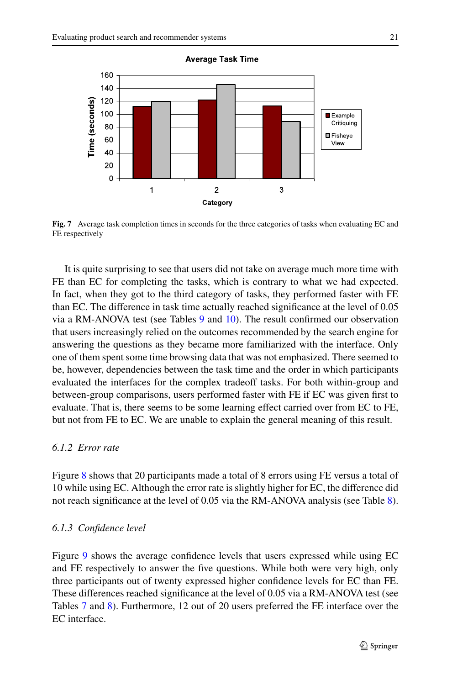

**Average Task Time** 

**Fig. 7** Average task completion times in seconds for the three categories of tasks when evaluating EC and FE respectively

It is quite surprising to see that users did not take on average much more time with FE than EC for completing the tasks, which is contrary to what we had expected. In fact, when they got to the third category of tasks, they performed faster with FE than EC. The difference in task time actually reached significance at the level of 0.05 via a RM-ANOVA test (see Tables 9 and 10). The result confirmed our observation that users increasingly relied on the outcomes recommended by the search engine for answering the questions as they became more familiarized with the interface. Only one of them spent some time browsing data that was not emphasized. There seemed to be, however, dependencies between the task time and the order in which participants evaluated the interfaces for the complex tradeoff tasks. For both within-group and between-group comparisons, users performed faster with FE if EC was given first to evaluate. That is, there seems to be some learning effect carried over from EC to FE, but not from FE to EC. We are unable to explain the general meaning of this result.

## *6.1.2 Error rate*

Figure 8 shows that 20 participants made a total of 8 errors using FE versus a total of 10 while using EC. Although the error rate is slightly higher for EC, the difference did not reach significance at the level of 0.05 via the RM-ANOVA analysis (see Table 8).

## *6.1.3 Confidence level*

Figure 9 shows the average confidence levels that users expressed while using EC and FE respectively to answer the five questions. While both were very high, only three participants out of twenty expressed higher confidence levels for EC than FE. These differences reached significance at the level of 0.05 via a RM-ANOVA test (see Tables 7 and 8). Furthermore, 12 out of 20 users preferred the FE interface over the EC interface.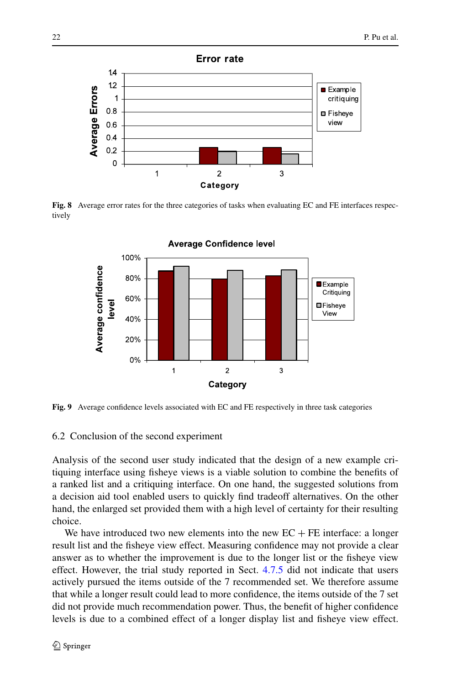

**Fig. 8** Average error rates for the three categories of tasks when evaluating EC and FE interfaces respectively



**Fig. 9** Average confidence levels associated with EC and FE respectively in three task categories

#### 6.2 Conclusion of the second experiment

Analysis of the second user study indicated that the design of a new example critiquing interface using fisheye views is a viable solution to combine the benefits of a ranked list and a critiquing interface. On one hand, the suggested solutions from a decision aid tool enabled users to quickly find tradeoff alternatives. On the other hand, the enlarged set provided them with a high level of certainty for their resulting choice.

We have introduced two new elements into the new  $EC + FE$  interface: a longer result list and the fisheye view effect. Measuring confidence may not provide a clear answer as to whether the improvement is due to the longer list or the fisheye view effect. However, the trial study reported in Sect. 4.7.5 did not indicate that users actively pursued the items outside of the 7 recommended set. We therefore assume that while a longer result could lead to more confidence, the items outside of the 7 set did not provide much recommendation power. Thus, the benefit of higher confidence levels is due to a combined effect of a longer display list and fisheye view effect.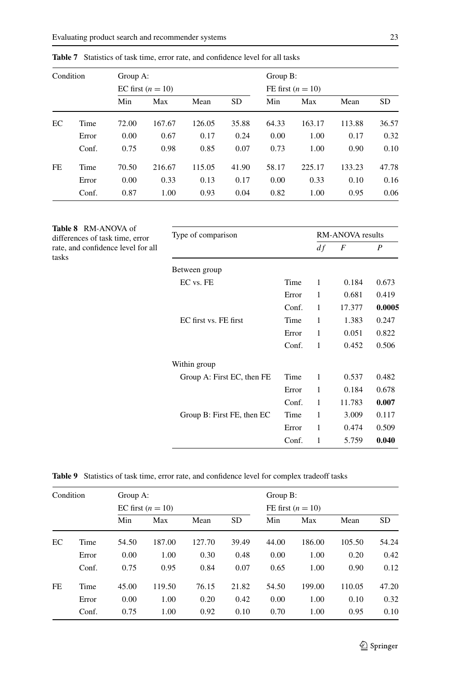| Condition |       | Group A: | EC first $(n = 10)$ |        | Group B:<br>FE first $(n = 10)$ |       |        |        |           |
|-----------|-------|----------|---------------------|--------|---------------------------------|-------|--------|--------|-----------|
|           |       | Min      | Max                 | Mean   | <b>SD</b>                       | Min   | Max    | Mean   | <b>SD</b> |
| EC        | Time  | 72.00    | 167.67              | 126.05 | 35.88                           | 64.33 | 163.17 | 113.88 | 36.57     |
|           | Error | 0.00     | 0.67                | 0.17   | 0.24                            | 0.00  | 1.00   | 0.17   | 0.32      |
|           | Conf. | 0.75     | 0.98                | 0.85   | 0.07                            | 0.73  | 1.00   | 0.90   | 0.10      |
| FE.       | Time  | 70.50    | 216.67              | 115.05 | 41.90                           | 58.17 | 225.17 | 133.23 | 47.78     |
|           | Error | 0.00     | 0.33                | 0.13   | 0.17                            | 0.00  | 0.33   | 0.10   | 0.16      |
|           | Conf. | 0.87     | 1.00                | 0.93   | 0.04                            | 0.82  | 1.00   | 0.95   | 0.06      |

**Table 7** Statistics of task time, error rate, and confidence level for all tasks

|       | Table 8 RM-ANOVA of                |
|-------|------------------------------------|
|       | differences of task time, error    |
|       | rate, and confidence level for all |
| tasks |                                    |

| Type of comparison         |       |    | <b>RM-ANOVA</b> results |        |  |  |
|----------------------------|-------|----|-------------------------|--------|--|--|
|                            |       | df | F                       | P      |  |  |
| Between group              |       |    |                         |        |  |  |
| EC vs. FE                  | Time  | 1  | 0.184                   | 0.673  |  |  |
|                            | Error | 1  | 0.681                   | 0.419  |  |  |
|                            | Conf. | 1  | 17.377                  | 0.0005 |  |  |
| EC first vs. FE first      | Time  | 1  | 1.383                   | 0.247  |  |  |
|                            | Error | 1  | 0.051                   | 0.822  |  |  |
|                            | Conf. | 1  | 0.452                   | 0.506  |  |  |
| Within group               |       |    |                         |        |  |  |
| Group A: First EC, then FE | Time  | 1  | 0.537                   | 0.482  |  |  |
|                            | Error | 1  | 0.184                   | 0.678  |  |  |
|                            | Conf. | 1  | 11.783                  | 0.007  |  |  |
| Group B: First FE, then EC | Time  | 1  | 3.009                   | 0.117  |  |  |
|                            | Error | 1  | 0.474                   | 0.509  |  |  |
|                            | Conf. | 1  | 5.759                   | 0.040  |  |  |

**Table 9** Statistics of task time, error rate, and confidence level for complex tradeoff tasks

| Condition |       | Group A:<br>EC first $(n = 10)$ |        |        |           | Group B:<br>FE first $(n = 10)$ |        |        |           |
|-----------|-------|---------------------------------|--------|--------|-----------|---------------------------------|--------|--------|-----------|
|           |       | Min                             | Max    | Mean   | <b>SD</b> | Min                             | Max    | Mean   | <b>SD</b> |
| EC        | Time  | 54.50                           | 187.00 | 127.70 | 39.49     | 44.00                           | 186.00 | 105.50 | 54.24     |
|           | Error | 0.00                            | 1.00   | 0.30   | 0.48      | 0.00                            | 1.00   | 0.20   | 0.42      |
|           | Conf. | 0.75                            | 0.95   | 0.84   | 0.07      | 0.65                            | 1.00   | 0.90   | 0.12      |
| FE.       | Time  | 45.00                           | 119.50 | 76.15  | 21.82     | 54.50                           | 199.00 | 110.05 | 47.20     |
|           | Error | 0.00                            | 1.00   | 0.20   | 0.42      | 0.00                            | 1.00   | 0.10   | 0.32      |
|           | Conf. | 0.75                            | 1.00   | 0.92   | 0.10      | 0.70                            | 1.00   | 0.95   | 0.10      |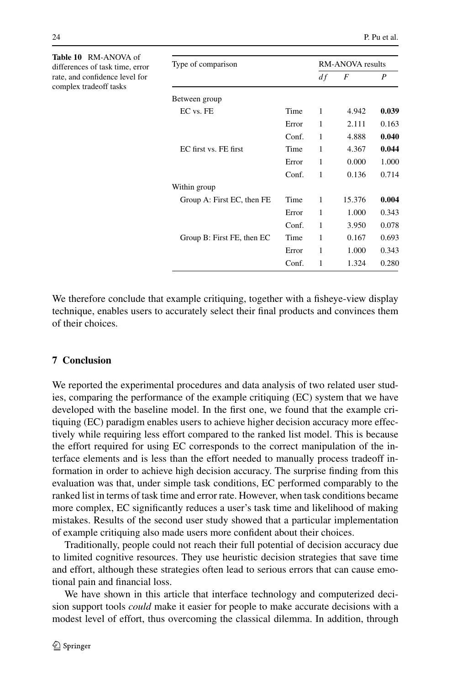| Table 10 RM-ANOVA of<br>differences of task time, error  | Type of comparison         |       | RM-ANOVA results |        |       |
|----------------------------------------------------------|----------------------------|-------|------------------|--------|-------|
| rate, and confidence level for<br>complex tradeoff tasks |                            |       | df               | F      | P     |
|                                                          | Between group              |       |                  |        |       |
|                                                          | EC vs. FE                  | Time  | 1                | 4.942  | 0.039 |
|                                                          |                            | Error | 1                | 2.111  | 0.163 |
|                                                          |                            | Conf. | 1                | 4.888  | 0.040 |
|                                                          | EC first vs. FE first      | Time  | 1                | 4.367  | 0.044 |
|                                                          |                            | Error | 1                | 0.000  | 1.000 |
|                                                          |                            | Conf. | 1                | 0.136  | 0.714 |
|                                                          | Within group               |       |                  |        |       |
|                                                          | Group A: First EC, then FE | Time  | $\mathbf{1}$     | 15.376 | 0.004 |
|                                                          |                            | Error | 1                | 1.000  | 0.343 |
|                                                          |                            | Conf. | 1                | 3.950  | 0.078 |
|                                                          | Group B: First FE, then EC | Time  | 1                | 0.167  | 0.693 |
|                                                          |                            | Error | 1                | 1.000  | 0.343 |
|                                                          |                            | Conf. | 1                | 1.324  | 0.280 |
|                                                          |                            |       |                  |        |       |

We therefore conclude that example critiquing, together with a fisheye-view display technique, enables users to accurately select their final products and convinces them of their choices.

## **7 Conclusion**

We reported the experimental procedures and data analysis of two related user studies, comparing the performance of the example critiquing (EC) system that we have developed with the baseline model. In the first one, we found that the example critiquing (EC) paradigm enables users to achieve higher decision accuracy more effectively while requiring less effort compared to the ranked list model. This is because the effort required for using EC corresponds to the correct manipulation of the interface elements and is less than the effort needed to manually process tradeoff information in order to achieve high decision accuracy. The surprise finding from this evaluation was that, under simple task conditions, EC performed comparably to the ranked list in terms of task time and error rate. However, when task conditions became more complex, EC significantly reduces a user's task time and likelihood of making mistakes. Results of the second user study showed that a particular implementation of example critiquing also made users more confident about their choices.

Traditionally, people could not reach their full potential of decision accuracy due to limited cognitive resources. They use heuristic decision strategies that save time and effort, although these strategies often lead to serious errors that can cause emotional pain and financial loss.

We have shown in this article that interface technology and computerized decision support tools *could* make it easier for people to make accurate decisions with a modest level of effort, thus overcoming the classical dilemma. In addition, through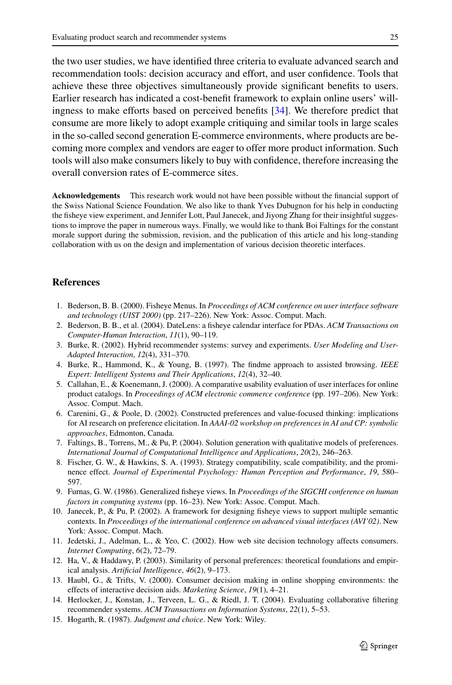the two user studies, we have identified three criteria to evaluate advanced search and recommendation tools: decision accuracy and effort, and user confidence. Tools that achieve these three objectives simultaneously provide significant benefits to users. Earlier research has indicated a cost-benefit framework to explain online users' willingness to make efforts based on perceived benefits [34]. We therefore predict that consume are more likely to adopt example critiquing and similar tools in large scales in the so-called second generation E-commerce environments, where products are becoming more complex and vendors are eager to offer more product information. Such tools will also make consumers likely to buy with confidence, therefore increasing the overall conversion rates of E-commerce sites.

**Acknowledgements** This research work would not have been possible without the financial support of the Swiss National Science Foundation. We also like to thank Yves Dubugnon for his help in conducting the fisheye view experiment, and Jennifer Lott, Paul Janecek, and Jiyong Zhang for their insightful suggestions to improve the paper in numerous ways. Finally, we would like to thank Boi Faltings for the constant morale support during the submission, revision, and the publication of this article and his long-standing collaboration with us on the design and implementation of various decision theoretic interfaces.

## **References**

- 1. Bederson, B. B. (2000). Fisheye Menus. In *Proceedings of ACM conference on user interface software and technology (UIST 2000)* (pp. 217–226). New York: Assoc. Comput. Mach.
- 2. Bederson, B. B., et al. (2004). DateLens: a fisheye calendar interface for PDAs. *ACM Transactions on Computer-Human Interaction*, *11*(1), 90–119.
- 3. Burke, R. (2002). Hybrid recommender systems: survey and experiments. *User Modeling and User-Adapted Interaction*, *12*(4), 331–370.
- 4. Burke, R., Hammond, K., & Young, B. (1997). The findme approach to assisted browsing. *IEEE Expert: Intelligent Systems and Their Applications*, *12*(4), 32–40.
- 5. Callahan, E., & Koenemann, J. (2000). A comparative usability evaluation of user interfaces for online product catalogs. In *Proceedings of ACM electronic commerce conference* (pp. 197–206). New York: Assoc. Comput. Mach.
- 6. Carenini, G., & Poole, D. (2002). Constructed preferences and value-focused thinking: implications for AI research on preference elicitation. In *AAAI-02 workshop on preferences in AI and CP: symbolic approaches*, Edmonton, Canada.
- 7. Faltings, B., Torrens, M., & Pu, P. (2004). Solution generation with qualitative models of preferences. *International Journal of Computational Intelligence and Applications*, *20*(2), 246–263.
- 8. Fischer, G. W., & Hawkins, S. A. (1993). Strategy compatibility, scale compatibility, and the prominence effect. *Journal of Experimental Psychology: Human Perception and Performance*, *19*, 580– 597.
- 9. Furnas, G. W. (1986). Generalized fisheye views. In *Proceedings of the SIGCHI conference on human factors in computing systems* (pp. 16–23). New York: Assoc. Comput. Mach.
- 10. Janecek, P., & Pu, P. (2002). A framework for designing fisheye views to support multiple semantic contexts. In *Proceedings of the international conference on advanced visual interfaces (AVI'02)*. New York: Assoc. Comput. Mach.
- 11. Jedetski, J., Adelman, L., & Yeo, C. (2002). How web site decision technology affects consumers. *Internet Computing*, *6*(2), 72–79.
- 12. Ha, V., & Haddawy, P. (2003). Similarity of personal preferences: theoretical foundations and empirical analysis. *Artificial Intelligence*, *46*(2), 9–173.
- 13. Haubl, G., & Trifts, V. (2000). Consumer decision making in online shopping environments: the effects of interactive decision aids. *Marketing Science*, *19*(1), 4–21.
- 14. Herlocker, J., Konstan, J., Terveen, L. G., & Riedl, J. T. (2004). Evaluating collaborative filtering recommender systems. *ACM Transactions on Information Systems*, *22*(1), 5–53.
- 15. Hogarth, R. (1987). *Judgment and choice*. New York: Wiley.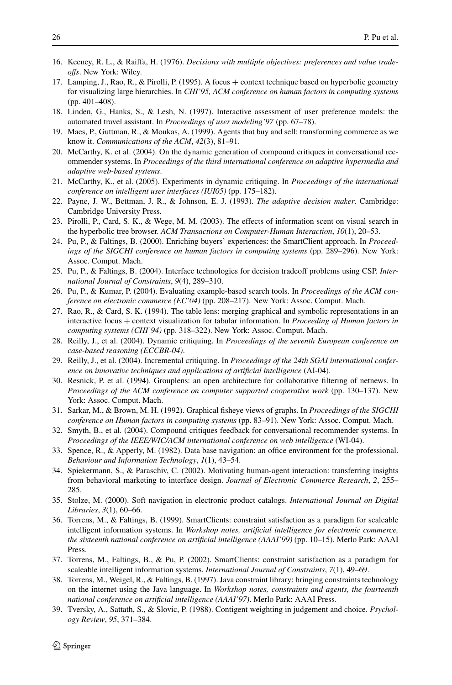- 16. Keeney, R. L., & Raiffa, H. (1976). *Decisions with multiple objectives: preferences and value tradeoffs*. New York: Wiley.
- 17. Lamping, J., Rao, R., & Pirolli, P. (1995). A focus + context technique based on hyperbolic geometry for visualizing large hierarchies. In *CHI'95, ACM conference on human factors in computing systems* (pp. 401–408).
- 18. Linden, G., Hanks, S., & Lesh, N. (1997). Interactive assessment of user preference models: the automated travel assistant. In *Proceedings of user modeling'97* (pp. 67–78).
- 19. Maes, P., Guttman, R., & Moukas, A. (1999). Agents that buy and sell: transforming commerce as we know it. *Communications of the ACM*, *42*(3), 81–91.
- 20. McCarthy, K. et al. (2004). On the dynamic generation of compound critiques in conversational recommender systems. In *Proceedings of the third international conference on adaptive hypermedia and adaptive web-based systems*.
- 21. McCarthy, K., et al. (2005). Experiments in dynamic critiquing. In *Proceedings of the international conference on intelligent user interfaces (IUI05)* (pp. 175–182).
- 22. Payne, J. W., Bettman, J. R., & Johnson, E. J. (1993). *The adaptive decision maker*. Cambridge: Cambridge University Press.
- 23. Pirolli, P., Card, S. K., & Wege, M. M. (2003). The effects of information scent on visual search in the hyperbolic tree browser. *ACM Transactions on Computer-Human Interaction*, *10*(1), 20–53.
- 24. Pu, P., & Faltings, B. (2000). Enriching buyers' experiences: the SmartClient approach. In *Proceedings of the SIGCHI conference on human factors in computing systems* (pp. 289–296). New York: Assoc. Comput. Mach.
- 25. Pu, P., & Faltings, B. (2004). Interface technologies for decision tradeoff problems using CSP. *International Journal of Constraints*, *9*(4), 289–310.
- 26. Pu, P., & Kumar, P. (2004). Evaluating example-based search tools. In *Proceedings of the ACM conference on electronic commerce (EC'04)* (pp. 208–217). New York: Assoc. Comput. Mach.
- 27. Rao, R., & Card, S. K. (1994). The table lens: merging graphical and symbolic representations in an interactive focus + context visualization for tabular information. In *Proceeding of Human factors in computing systems (CHI'94)* (pp. 318–322). New York: Assoc. Comput. Mach.
- 28. Reilly, J., et al. (2004). Dynamic critiquing. In *Proceedings of the seventh European conference on case-based reasoning (ECCBR-04)*.
- 29. Reilly, J., et al. (2004). Incremental critiquing. In *Proceedings of the 24th SGAI international conference on innovative techniques and applications of artificial intelligence* (AI-04).
- 30. Resnick, P. et al. (1994). Grouplens: an open architecture for collaborative filtering of netnews. In *Proceedings of the ACM conference on computer supported cooperative work* (pp. 130–137). New York: Assoc. Comput. Mach.
- 31. Sarkar, M., & Brown, M. H. (1992). Graphical fisheye views of graphs. In *Proceedings of the SIGCHI conference on Human factors in computing systems* (pp. 83–91). New York: Assoc. Comput. Mach.
- 32. Smyth, B., et al. (2004). Compound critiques feedback for conversational recommender systems. In *Proceedings of the IEEE/WIC/ACM international conference on web intelligence* (WI-04).
- 33. Spence, R., & Apperly, M. (1982). Data base navigation: an office environment for the professional. *Behaviour and Information Technology*, *1*(1), 43–54.
- 34. Spiekermann, S., & Paraschiv, C. (2002). Motivating human-agent interaction: transferring insights from behavioral marketing to interface design. *Journal of Electronic Commerce Research*, *2*, 255– 285.
- 35. Stolze, M. (2000). Soft navigation in electronic product catalogs. *International Journal on Digital Libraries*, *3*(1), 60–66.
- 36. Torrens, M., & Faltings, B. (1999). SmartClients: constraint satisfaction as a paradigm for scaleable intelligent information systems. In *Workshop notes, artificial intelligence for electronic commerce, the sixteenth national conference on artificial intelligence (AAAI'99)* (pp. 10–15). Merlo Park: AAAI Press.
- 37. Torrens, M., Faltings, B., & Pu, P. (2002). SmartClients: constraint satisfaction as a paradigm for scaleable intelligent information systems. *International Journal of Constraints*, *7*(1), 49–69.
- 38. Torrens, M., Weigel, R., & Faltings, B. (1997). Java constraint library: bringing constraints technology on the internet using the Java language. In *Workshop notes, constraints and agents, the fourteenth national conference on artificial intelligence (AAAI'97)*. Merlo Park: AAAI Press.
- 39. Tversky, A., Sattath, S., & Slovic, P. (1988). Contigent weighting in judgement and choice. *Psychology Review*, *95*, 371–384.